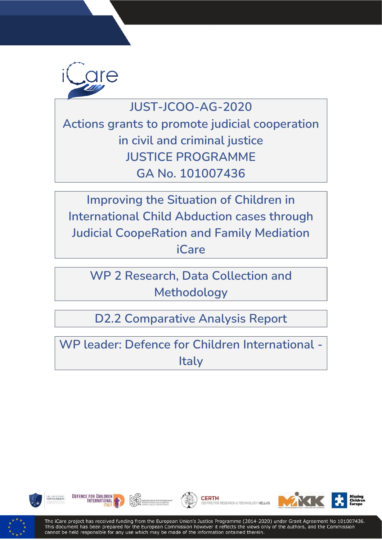

# **JUST-JCOO-AG-2020**

**Actions grants to promote judicial cooperation in civil and criminal justice JUSTICE PROGRAMME GA No. 101007436**

**Improving the Situation of Children in International Child Abduction cases through Judicial CoopeRation and Family Mediation iCare** 

**WP 2 Research, Data Collection and Methodology** 

**D2.2 Comparative Analysis Report**

**WP leader: Defence for Children International - Italy** 











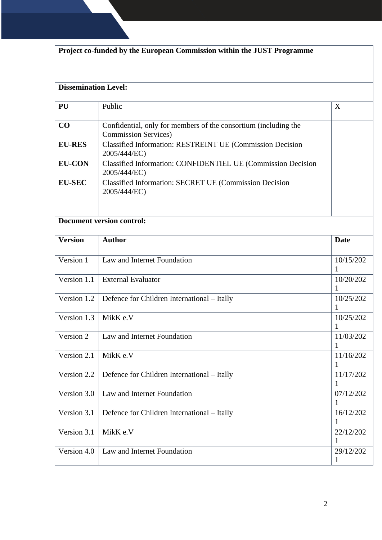| Project co-funded by the European Commission within the JUST Programme |                                                                                                 |                          |  |  |  |  |  |  |
|------------------------------------------------------------------------|-------------------------------------------------------------------------------------------------|--------------------------|--|--|--|--|--|--|
|                                                                        | <b>Dissemination Level:</b>                                                                     |                          |  |  |  |  |  |  |
| PU                                                                     | Public                                                                                          |                          |  |  |  |  |  |  |
| CO                                                                     | Confidential, only for members of the consortium (including the<br><b>Commission Services</b> ) |                          |  |  |  |  |  |  |
| <b>EU-RES</b>                                                          | <b>Classified Information: RESTREINT UE (Commission Decision</b><br>2005/444/EC)                |                          |  |  |  |  |  |  |
| <b>EU-CON</b>                                                          | Classified Information: CONFIDENTIEL UE (Commission Decision<br>2005/444/EC)                    |                          |  |  |  |  |  |  |
| <b>EU-SEC</b>                                                          | Classified Information: SECRET UE (Commission Decision<br>2005/444/EC)                          |                          |  |  |  |  |  |  |
|                                                                        | <b>Document version control:</b>                                                                |                          |  |  |  |  |  |  |
| <b>Version</b>                                                         | <b>Author</b>                                                                                   | <b>Date</b>              |  |  |  |  |  |  |
| Version 1                                                              | Law and Internet Foundation                                                                     | 10/15/202<br>1           |  |  |  |  |  |  |
| Version 1.1                                                            | <b>External Evaluator</b>                                                                       | 10/20/202<br>1           |  |  |  |  |  |  |
| Version 1.2                                                            | Defence for Children International - Itally                                                     | 10/25/202<br>1           |  |  |  |  |  |  |
| Version 1.3                                                            | MikK e.V                                                                                        | 10/25/202<br>1           |  |  |  |  |  |  |
| Version 2                                                              | Law and Internet Foundation                                                                     | 11/03/202<br>1           |  |  |  |  |  |  |
| Version 2.1                                                            | MikK e.V                                                                                        | 11/16/202<br>1           |  |  |  |  |  |  |
| Version 2.2                                                            | Defence for Children International - Itally                                                     | 11/17/202<br>1           |  |  |  |  |  |  |
| Version 3.0                                                            | Law and Internet Foundation                                                                     | 07/12/202<br>1           |  |  |  |  |  |  |
| Version 3.1                                                            | Defence for Children International - Itally                                                     | 16/12/202<br>1           |  |  |  |  |  |  |
| Version 3.1                                                            | MikK e.V                                                                                        | 22/12/202<br>1           |  |  |  |  |  |  |
| Version 4.0                                                            | Law and Internet Foundation                                                                     | 29/12/202<br>$\mathbf 1$ |  |  |  |  |  |  |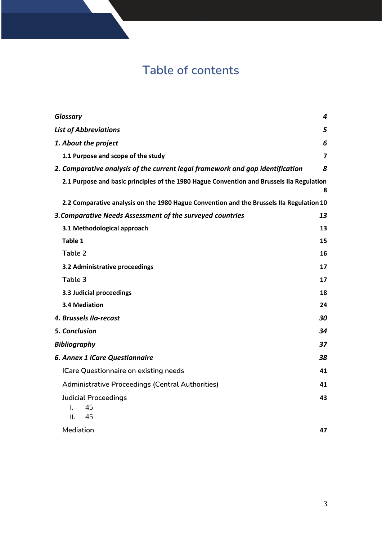# **Table of contents**

| Glossary                                                                                  | 4                       |
|-------------------------------------------------------------------------------------------|-------------------------|
| <b>List of Abbreviations</b>                                                              | 5                       |
| 1. About the project                                                                      | 6                       |
| 1.1 Purpose and scope of the study                                                        | $\overline{\mathbf{z}}$ |
| 2. Comparative analysis of the current legal framework and gap identification             | 8                       |
| 2.1 Purpose and basic principles of the 1980 Hague Convention and Brussels IIa Regulation | 8                       |
| 2.2 Comparative analysis on the 1980 Hague Convention and the Brussels IIa Regulation 10  |                         |
| 3. Comparative Needs Assessment of the surveyed countries                                 | 13                      |
| 3.1 Methodological approach                                                               | 13                      |
| Table 1                                                                                   | 15                      |
| Table 2                                                                                   | 16                      |
| 3.2 Administrative proceedings                                                            | 17                      |
| Table 3                                                                                   | 17                      |
| 3.3 Judicial proceedings                                                                  | 18                      |
| 3.4 Mediation                                                                             | 24                      |
| 4. Brussels IIa-recast                                                                    | 30                      |
| 5. Conclusion                                                                             | 34                      |
| <b>Bibliography</b>                                                                       | 37                      |
| <b>6. Annex 1 iCare Questionnaire</b>                                                     | 38                      |
| <b>ICare Questionnaire on existing needs</b>                                              | 41                      |
| <b>Administrative Proceedings (Central Authorities)</b>                                   | 41                      |
| <b>Judicial Proceedings</b><br>45<br>L.<br>45<br>Ш.                                       | 43                      |
| Mediation                                                                                 | 47                      |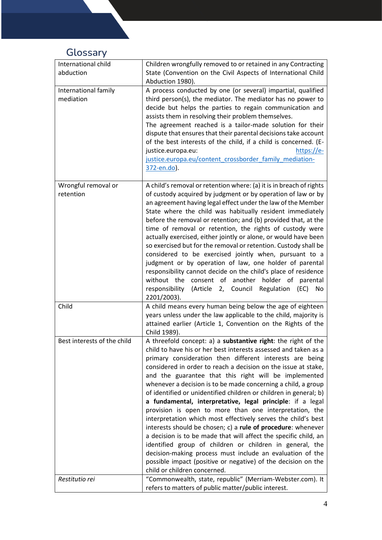# <span id="page-3-0"></span>**Glossary**

| International child<br>abduction  | Children wrongfully removed to or retained in any Contracting<br>State (Convention on the Civil Aspects of International Child<br>Abduction 1980).                                                                                                                                                                                                                                                                                                                                                                                                                                                                                                                                                                                                                                                                                                                                                                                                                                                                   |
|-----------------------------------|----------------------------------------------------------------------------------------------------------------------------------------------------------------------------------------------------------------------------------------------------------------------------------------------------------------------------------------------------------------------------------------------------------------------------------------------------------------------------------------------------------------------------------------------------------------------------------------------------------------------------------------------------------------------------------------------------------------------------------------------------------------------------------------------------------------------------------------------------------------------------------------------------------------------------------------------------------------------------------------------------------------------|
| International family<br>mediation | A process conducted by one (or several) impartial, qualified<br>third person(s), the mediator. The mediator has no power to<br>decide but helps the parties to regain communication and<br>assists them in resolving their problem themselves.<br>The agreement reached is a tailor-made solution for their<br>dispute that ensures that their parental decisions take account<br>of the best interests of the child, if a child is concerned. (E-<br>justice.europa.eu:<br>https://e-<br>justice.europa.eu/content crossborder family mediation-<br>372-en.do).                                                                                                                                                                                                                                                                                                                                                                                                                                                     |
| Wrongful removal or<br>retention  | A child's removal or retention where: (a) it is in breach of rights<br>of custody acquired by judgment or by operation of law or by<br>an agreement having legal effect under the law of the Member<br>State where the child was habitually resident immediately<br>before the removal or retention; and (b) provided that, at the<br>time of removal or retention, the rights of custody were<br>actually exercised, either jointly or alone, or would have been<br>so exercised but for the removal or retention. Custody shall be<br>considered to be exercised jointly when, pursuant to a<br>judgment or by operation of law, one holder of parental<br>responsibility cannot decide on the child's place of residence<br>without the consent of another holder of parental<br>Council Regulation<br>responsibility (Article<br>2,<br>(EC)<br>No<br>2201/2003).                                                                                                                                                 |
| Child                             | A child means every human being below the age of eighteen<br>years unless under the law applicable to the child, majority is<br>attained earlier (Article 1, Convention on the Rights of the<br>Child 1989).                                                                                                                                                                                                                                                                                                                                                                                                                                                                                                                                                                                                                                                                                                                                                                                                         |
| Best interests of the child       | A threefold concept: a) a substantive right: the right of the<br>child to have his or her best interests assessed and taken as a<br>primary consideration then different interests are being<br>considered in order to reach a decision on the issue at stake,<br>and the guarantee that this right will be implemented<br>whenever a decision is to be made concerning a child, a group<br>of identified or unidentified children or children in general; b)<br>a fundamental, interpretative, legal principle: if a legal<br>provision is open to more than one interpretation, the<br>interpretation which most effectively serves the child's best<br>interests should be chosen; c) a rule of procedure: whenever<br>a decision is to be made that will affect the specific child, an<br>identified group of children or children in general, the<br>decision-making process must include an evaluation of the<br>possible impact (positive or negative) of the decision on the<br>child or children concerned. |
| Restitutio rei                    | "Commonwealth, state, republic" (Merriam-Webster.com). It<br>refers to matters of public matter/public interest.                                                                                                                                                                                                                                                                                                                                                                                                                                                                                                                                                                                                                                                                                                                                                                                                                                                                                                     |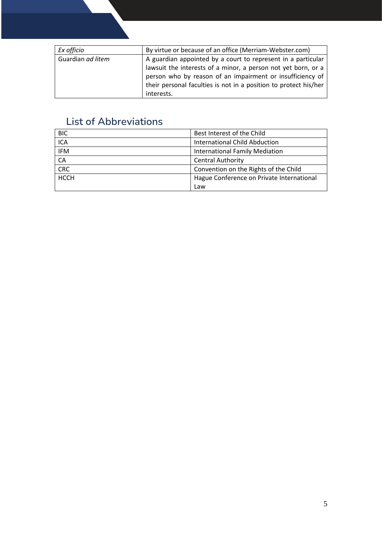| Ex officio        | By virtue or because of an office (Merriam-Webster.com)          |
|-------------------|------------------------------------------------------------------|
| Guardian ad litem | A guardian appointed by a court to represent in a particular     |
|                   | lawsuit the interests of a minor, a person not yet born, or a    |
|                   | person who by reason of an impairment or insufficiency of        |
|                   | their personal faculties is not in a position to protect his/her |
|                   | interests.                                                       |

# <span id="page-4-0"></span>**List of Abbreviations**

| <b>BIC</b>  | Best Interest of the Child                |
|-------------|-------------------------------------------|
| <b>ICA</b>  | <b>International Child Abduction</b>      |
| <b>IFM</b>  | International Family Mediation            |
| CA          | <b>Central Authority</b>                  |
| <b>CRC</b>  | Convention on the Rights of the Child     |
| <b>HCCH</b> | Hague Conference on Private International |
|             | Law                                       |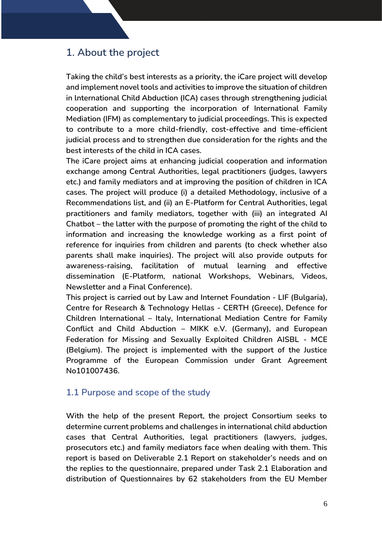## <span id="page-5-0"></span>**1. About the project**

**Taking the child's best interests as a priority, the iCare project will develop and implement novel tools and activities to improve the situation of children in lnternational Child Abduction (ICA) cases through strengthening judicial cooperation and supporting the incorporation of International Family Mediation (IFM) as complementary to judicial proceedings. This is expected to contribute to a more child-friendly, cost-effective and time-efficient judicial process and to strengthen due consideration for the rights and the best interests of the child in ICA cases.**

**The iCare project aims at enhancing judicial cooperation and information exchange among Central Authorities, legal practitioners (judges, lawyers etc.) and family mediators and at improving the position of children in ICA cases. The project will produce (i) a detailed Methodology, inclusive of a Recommendations list, and (ii) an E-Platform for Central Authorities, legal practitioners and family mediators, together with (iii) an integrated AI Chatbot – the latter with the purpose of promoting the right of the child to information and increasing the knowledge working as a first point of reference for inquiries from children and parents (to check whether also parents shall make inquiries). The project will also provide outputs for awareness-raising, facilitation of mutual learning and effective dissemination (E-Platform, national Workshops, Webinars, Videos, Newsletter and a Final Conference).** 

**This project is carried out by Law and Internet Foundation - LIF (Bulgaria), Centre for Research & Technology Hellas - CERTH (Greece), Defence for Children International – Italy, International Mediation Centre for Family Conflict and Child Abduction – MIKK e.V. (Germany), and European Federation for Missing and Sexually Exploited Children AISBL - MCE (Belgium). The project is implemented with the support of the Justice Programme of the European Commission under Grant Agreement No101007436.**

### <span id="page-5-1"></span>**1.1 Purpose and scope of the study**

**With the help of the present Report, the project Consortium seeks to determine current problems and challenges in international child abduction cases that Central Authorities, legal practitioners (lawyers, judges, prosecutors etc.) and family mediators face when dealing with them. This report is based on Deliverable 2.1 Report on stakeholder's needs and on the replies to the questionnaire, prepared under Task 2.1 Elaboration and distribution of Questionnaires by 62 stakeholders from the EU Member**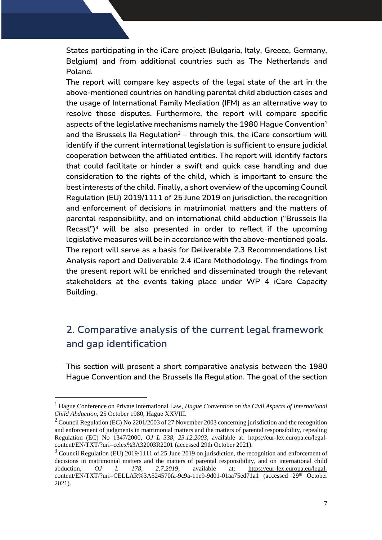**States participating in the iCare project (Bulgaria, Italy, Greece, Germany, Belgium) and from additional countries such as The Netherlands and Poland.** 

**The report will compare key aspects of the legal state of the art in the above-mentioned countries on handling parental child abduction cases and the usage of International Family Mediation (IFM) as an alternative way to resolve those disputes. Furthermore, the report will compare specific aspects of the legislative mechanisms namely the 1980 Hague Convention<sup>1</sup> and the Brussels IIa Regulation<sup>2</sup> – through this, the iCare consortium will identify if the current international legislation is sufficient to ensure judicial cooperation between the affiliated entities. The report will identify factors that could facilitate or hinder a swift and quick case handling and due consideration to the rights of the child, which is important to ensure the best interests of the child. Finally, a short overview of the upcoming Council Regulation (EU) 2019/1111 of 25 June 2019 on jurisdiction, the recognition and enforcement of decisions in matrimonial matters and the matters of parental responsibility, and on international child abduction ("Brussels IIa Recast")<sup>3</sup> will be also presented in order to reflect if the upcoming legislative measures will be in accordance with the above-mentioned goals. The report will serve as a basis for Deliverable 2.3 Recommendations List Analysis report and Deliverable 2.4 iCare Methodology. The findings from the present report will be enriched and disseminated trough the relevant stakeholders at the events taking place under WP 4 iCare Capacity Building.** 

# <span id="page-6-0"></span>**2. Comparative analysis of the current legal framework and gap identification**

**This section will present a short comparative analysis between the 1980 Hague Convention and the Brussels IIa Regulation. The goal of the section** 

<sup>1</sup> Hague Conference on Private International Law, *Hague Convention on the Civil Aspects of International Child Abduction*, 25 October 1980, Hague XXVIII.

 $2$  Council Regulation (EC) No 2201/2003 of 27 November 2003 concerning jurisdiction and the recognition and enforcement of judgments in matrimonial matters and the matters of parental responsibility, repealing Regulation (EC) No 1347/2000, *OJ L 338, 23.12.2003*, available at: https://eur-lex.europa.eu/legalcontent/EN/TXT/?uri=celex%3A32003R2201 (accessed 29th October 2021).

 $3$  Council Regulation (EU) 2019/1111 of 25 June 2019 on jurisdiction, the recognition and enforcement of decisions in matrimonial matters and the matters of parental responsibility, and on international child abduction, *OJ L 178, 2.7.2019*, available at: [https://eur-lex.europa.eu/legal](https://eur-lex.europa.eu/legal-content/EN/TXT/?uri=CELLAR%3A524570fa-9c9a-11e9-9d01-01aa75ed71a1)[content/EN/TXT/?uri=CELLAR%3A524570fa-9c9a-11e9-9d01-01aa75ed71a1](https://eur-lex.europa.eu/legal-content/EN/TXT/?uri=CELLAR%3A524570fa-9c9a-11e9-9d01-01aa75ed71a1) (accessed 29th October 2021).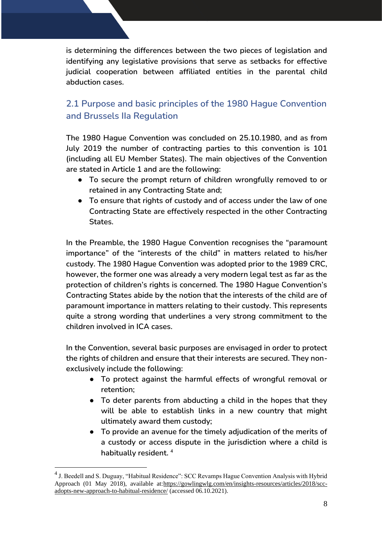**is determining the differences between the two pieces of legislation and identifying any legislative provisions that serve as setbacks for effective judicial cooperation between affiliated entities in the parental child abduction cases.** 

## <span id="page-7-0"></span>**2.1 Purpose and basic principles of the 1980 Hague Convention and Brussels IIa Regulation**

**The 1980 Hague Convention was concluded on 25.10.1980, and as from July 2019 the number of contracting parties to this convention is 101 (including all EU Member States). The main objectives of the Convention are stated in Article 1 and are the following:** 

- **To secure the prompt return of children wrongfully removed to or retained in any Contracting State and;**
- **To ensure that rights of custody and of access under the law of one Contracting State are effectively respected in the other Contracting States.**

**In the Preamble, the 1980 Hague Convention recognises the "paramount importance" of the "interests of the child" in matters related to his/her custody. The 1980 Hague Convention was adopted prior to the 1989 CRC, however, the former one was already a very modern legal test as far as the protection of children's rights is concerned. The 1980 Hague Convention's Contracting States abide by the notion that the interests of the child are of paramount importance in matters relating to their custody. This represents quite a strong wording that underlines a very strong commitment to the children involved in ICA cases.** 

**In the Convention, several basic purposes are envisaged in order to protect the rights of children and ensure that their interests are secured. They nonexclusively include the following:** 

- **To protect against the harmful effects of wrongful removal or retention;**
- **To deter parents from abducting a child in the hopes that they will be able to establish links in a new country that might ultimately award them custody;**
- **To provide an avenue for the timely adjudication of the merits of a custody or access dispute in the jurisdiction where a child is habitually resident. <sup>4</sup>**

 $<sup>4</sup>$  J. Beedell and S. Duguay, "Habitual Residence": SCC Revamps Hague Convention Analysis with Hybrid</sup> Approach (01 May 2018), available at[:https://gowlingwlg.com/en/insights-resources/articles/2018/scc](https://gowlingwlg.com/en/insights-resources/articles/2018/scc-adopts-new-approach-to-habitual-residence/)[adopts-new-approach-to-habitual-residence/](https://gowlingwlg.com/en/insights-resources/articles/2018/scc-adopts-new-approach-to-habitual-residence/) (accessed 06.10.2021).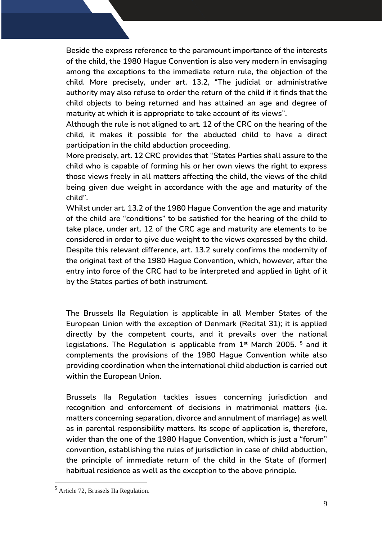**Beside the express reference to the paramount importance of the interests of the child, the 1980 Hague Convention is also very modern in envisaging among the exceptions to the immediate return rule, the objection of the child. More precisely, under art. 13.2, "The judicial or administrative authority may also refuse to order the return of the child if it finds that the child objects to being returned and has attained an age and degree of maturity at which it is appropriate to take account of its views".** 

**Although the rule is not aligned to art. 12 of the CRC on the hearing of the child, it makes it possible for the abducted child to have a direct participation in the child abduction proceeding.** 

**More precisely, art. 12 CRC provides that "States Parties shall assure to the child who is capable of forming his or her own views the right to express those views freely in all matters affecting the child, the views of the child being given due weight in accordance with the age and maturity of the child".** 

**Whilst under art. 13.2 of the 1980 Hague Convention the age and maturity of the child are "conditions" to be satisfied for the hearing of the child to take place, under art. 12 of the CRC age and maturity are elements to be considered in order to give due weight to the views expressed by the child. Despite this relevant difference, art. 13.2 surely confirms the modernity of the original text of the 1980 Hague Convention, which, however, after the entry into force of the CRC had to be interpreted and applied in light of it by the States parties of both instrument.** 

**The Brussels IIa Regulation is applicable in all Member States of the European Union with the exception of Denmark (Recital 31); it is applied directly by the competent courts, and it prevails over the national legislations. The Regulation is applicable from 1st March 2005. <sup>5</sup> and it complements the provisions of the 1980 Hague Convention while also providing coordination when the international child abduction is carried out within the European Union.** 

**Brussels IIa Regulation tackles issues concerning jurisdiction and recognition and enforcement of decisions in matrimonial matters (i.e. matters concerning separation, divorce and annulment of marriage) as well as in parental responsibility matters. Its scope of application is, therefore, wider than the one of the 1980 Hague Convention, which is just a "forum" convention, establishing the rules of jurisdiction in case of child abduction, the principle of immediate return of the child in the State of (former) habitual residence as well as the exception to the above principle.** 

<sup>5</sup> Article 72, Brussels IIa Regulation.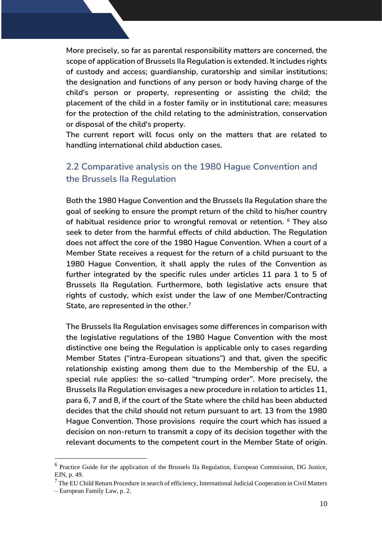**More precisely, so far as parental responsibility matters are concerned, the scope of application of Brussels IIa Regulation is extended. It includes rights of custody and access; guardianship, curatorship and similar institutions; the designation and functions of any person or body having charge of the child's person or property, representing or assisting the child; the placement of the child in a foster family or in institutional care; measures for the protection of the child relating to the administration, conservation or disposal of the child's property.** 

**The current report will focus only on the matters that are related to handling international child abduction cases.** 

## <span id="page-9-0"></span>**2.2 Comparative analysis on the 1980 Hague Convention and the Brussels IIa Regulation**

**Both the 1980 Hague Convention and the Brussels IIa Regulation share the goal of seeking to ensure the prompt return of the child to his/her country of habitual residence prior to wrongful removal or retention. <sup>6</sup> They also seek to deter from the harmful effects of child abduction. The Regulation does not affect the core of the 1980 Hague Convention. When a court of a Member State receives a request for the return of a child pursuant to the 1980 Hague Convention, it shall apply the rules of the Convention as further integrated by the specific rules under articles 11 para 1 to 5 of Brussels IIa Regulation. Furthermore, both legislative acts ensure that rights of custody, which exist under the law of one Member/Contracting State, are represented in the other.<sup>7</sup>**

**The Brussels IIa Regulation envisages some differences in comparison with the legislative regulations of the 1980 Hague Convention with the most distinctive one being the Regulation is applicable only to cases regarding Member States ("intra-European situations") and that, given the specific relationship existing among them due to the Membership of the EU, a special rule applies: the so-called "trumping order". More precisely, the Brussels IIa Regulation envisages a new procedure in relation to articles 11, para 6, 7 and 8, if the court of the State where the child has been abducted decides that the child should not return pursuant to art. 13 from the 1980 Hague Convention. Those provisions require the court which has issued a decision on non-return to transmit a copy of its decision together with the relevant documents to the competent court in the Member State of origin.** 

<sup>&</sup>lt;sup>6</sup> Practice Guide for the application of the Brussels IIa Regulation, European Commission, DG Justice, EJN, p. 49.

<sup>&</sup>lt;sup>7</sup> The EU Child Return Procedure in search of efficiency, International Judicial Cooperation in Civil Matters

<sup>–</sup> European Family Law, p. 2.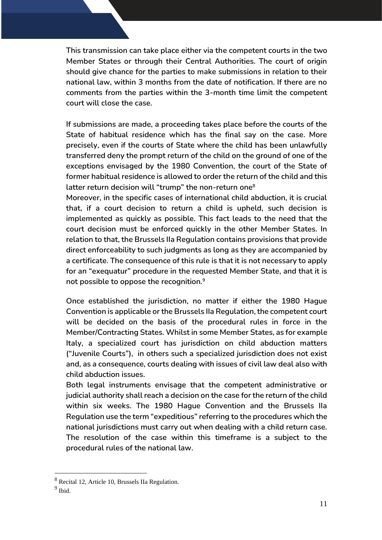**This transmission can take place either via the competent courts in the two Member States or through their Central Authorities. The court of origin should give chance for the parties to make submissions in relation to their national law, within 3 months from the date of notification. If there are no comments from the parties within the 3-month time limit the competent court will close the case.**

**If submissions are made, a proceeding takes place before the courts of the State of habitual residence which has the final say on the case. More precisely, even if the courts of State where the child has been unlawfully transferred deny the prompt return of the child on the ground of one of the exceptions envisaged by the 1980 Convention, the court of the State of former habitual residence is allowed to order the return of the child and this latter return decision will "trump" the non-return one<sup>8</sup>**

**Moreover, in the specific cases of international child abduction, it is crucial that, if a court decision to return a child is upheld, such decision is implemented as quickly as possible. This fact leads to the need that the court decision must be enforced quickly in the other Member States. In relation to that, the Brussels IIa Regulation contains provisions that provide direct enforceability to such judgments as long as they are accompanied by a certificate. The consequence of this rule is that it is not necessary to apply for an "exequatur" procedure in the requested Member State, and that it is not possible to oppose the recognition.<sup>9</sup>**

**Once established the jurisdiction, no matter if either the 1980 Hague Convention is applicable or the Brussels IIa Regulation, the competent court will be decided on the basis of the procedural rules in force in the Member/Contracting States. Whilst in some Member States, as for example Italy, a specialized court has jurisdiction on child abduction matters ("Juvenile Courts"), in others such a specialized jurisdiction does not exist and, as a consequence, courts dealing with issues of civil law deal also with child abduction issues.** 

**Both legal instruments envisage that the competent administrative or judicial authority shall reach a decision on the case for the return of the child within six weeks. The 1980 Hague Convention and the Brussels IIa Regulation use the term "expeditious" referring to the procedures which the national jurisdictions must carry out when dealing with a child return case. The resolution of the case within this timeframe is a subject to the procedural rules of the national law.**

<sup>8</sup> Recital 12, Article 10, Brussels IIa Regulation.

<sup>&</sup>lt;sup>9</sup> Ibid.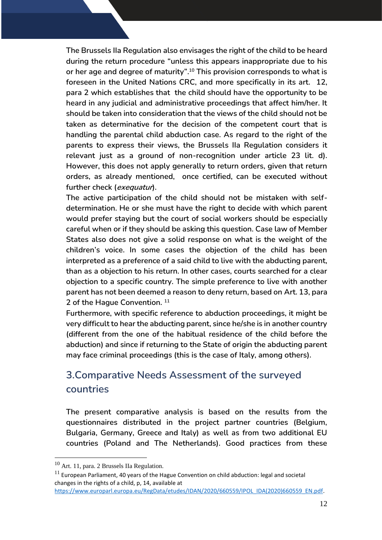**The Brussels IIa Regulation also envisages the right of the child to be heard during the return procedure "unless this appears inappropriate due to his or her age and degree of maturity". <sup>10</sup> This provision corresponds to what is foreseen in the United Nations CRC, and more specifically in its art. 12, para 2 which establishes that the child should have the opportunity to be heard in any judicial and administrative proceedings that affect him/her. It should be taken into consideration that the views of the child should not be taken as determinative for the decision of the competent court that is handling the parental child abduction case. As regard to the right of the parents to express their views, the Brussels IIa Regulation considers it relevant just as a ground of non-recognition under article 23 lit. d). However, this does not apply generally to return orders, given that return orders, as already mentioned, once certified, can be executed without further check (exequatur).** 

**The active participation of the child should not be mistaken with selfdetermination. He or she must have the right to decide with which parent would prefer staying but the court of social workers should be especially careful when or if they should be asking this question. Case law of Member States also does not give a solid response on what is the weight of the children's voice. In some cases the objection of the child has been interpreted as a preference of a said child to live with the abducting parent, than as a objection to his return. In other cases, courts searched for a clear objection to a specific country. The simple preference to live with another parent has not been deemed a reason to deny return, based on Art. 13, para 2 of the Hague Convention. <sup>11</sup>**

<span id="page-11-0"></span>**Furthermore, with specific reference to abduction proceedings, it might be very difficult to hear the abducting parent, since he/she is in another country (different from the one of the habitual residence of the child before the abduction) and since if returning to the State of origin the abducting parent may face criminal proceedings (this is the case of Italy, among others).** 

# **3.Comparative Needs Assessment of the surveyed countries**

**The present comparative analysis is based on the results from the questionnaires distributed in the project partner countries (Belgium, Bulgaria, Germany, Greece and Italy) as well as from two additional EU countries (Poland and The Netherlands). Good practices from these** 

<sup>10</sup> Art. 11, para. 2 Brussels IIa Regulation.

 $11$  European Parliament, 40 years of the Hague Convention on child abduction: legal and societal changes in the rights of a child, p, 14, available at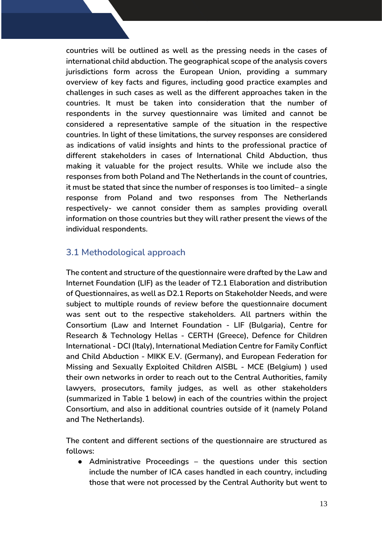**countries will be outlined as well as the pressing needs in the cases of international child abduction. The geographical scope of the analysis covers jurisdictions form across the European Union, providing a summary overview of key facts and figures, including good practice examples and challenges in such cases as well as the different approaches taken in the countries. It must be taken into consideration that the number of respondents in the survey questionnaire was limited and cannot be considered a representative sample of the situation in the respective countries. In light of these limitations, the survey responses are considered as indications of valid insights and hints to the professional practice of different stakeholders in cases of International Child Abduction, thus making it valuable for the project results. While we include also the responses from both Poland and The Netherlands in the count of countries, it must be stated that since the number of responses is too limited– a single response from Poland and two responses from The Netherlands respectively- we cannot consider them as samples providing overall information on those countries but they will rather present the views of the individual respondents.** 

## <span id="page-12-0"></span>**3.1 Methodological approach**

**The content and structure of the questionnaire were drafted by the Law and Internet Foundation (LIF) as the leader of T2.1 Elaboration and distribution of Questionnaires, as well as D2.1 Reports on Stakeholder Needs, and were subject to multiple rounds of review before the questionnaire document was sent out to the respective stakeholders. All partners within the Consortium (Law and Internet Foundation - LIF (Bulgaria), Centre for Research & Technology Hellas - CERTH (Greece), Defence for Children International - DCI (Italy), International Mediation Centre for Family Conflict and Child Abduction - MIKK E.V. (Germany), and European Federation for Missing and Sexually Exploited Children AISBL - MCE (Belgium) ) used their own networks in order to reach out to the Central Authorities, family lawyers, prosecutors, family judges, as well as other stakeholders (summarized in Table 1 below) in each of the countries within the project Consortium, and also in additional countries outside of it (namely Poland and The Netherlands).** 

**The content and different sections of the questionnaire are structured as follows:** 

● **Administrative Proceedings – the questions under this section include the number of ICA cases handled in each country, including those that were not processed by the Central Authority but went to**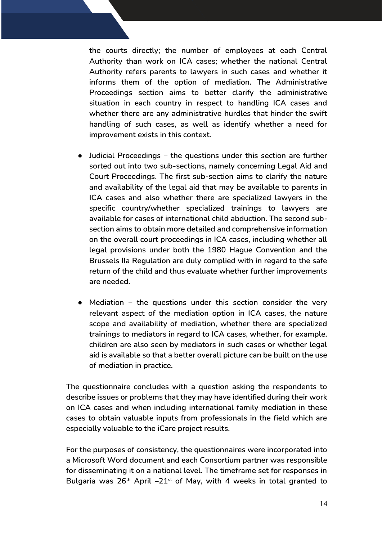**the courts directly; the number of employees at each Central Authority than work on ICA cases; whether the national Central Authority refers parents to lawyers in such cases and whether it informs them of the option of mediation. The Administrative Proceedings section aims to better clarify the administrative situation in each country in respect to handling ICA cases and whether there are any administrative hurdles that hinder the swift handling of such cases, as well as identify whether a need for improvement exists in this context.**

- **Judicial Proceedings – the questions under this section are further sorted out into two sub-sections, namely concerning Legal Aid and Court Proceedings. The first sub-section aims to clarify the nature and availability of the legal aid that may be available to parents in ICA cases and also whether there are specialized lawyers in the specific country/whether specialized trainings to lawyers are available for cases of international child abduction. The second subsection aims to obtain more detailed and comprehensive information on the overall court proceedings in ICA cases, including whether all legal provisions under both the 1980 Hague Convention and the Brussels IIa Regulation are duly complied with in regard to the safe return of the child and thus evaluate whether further improvements are needed.**
- **Mediation – the questions under this section consider the very relevant aspect of the mediation option in ICA cases, the nature scope and availability of mediation, whether there are specialized trainings to mediators in regard to ICA cases, whether, for example, children are also seen by mediators in such cases or whether legal aid is available so that a better overall picture can be built on the use of mediation in practice.**

**The questionnaire concludes with a question asking the respondents to describe issues or problems that they may have identified during their work on ICA cases and when including international family mediation in these cases to obtain valuable inputs from professionals in the field which are especially valuable to the iCare project results.**

**For the purposes of consistency, the questionnaires were incorporated into a Microsoft Word document and each Consortium partner was responsible for disseminating it on a national level. The timeframe set for responses in Bulgaria was 26th April –21st of May, with 4 weeks in total granted to**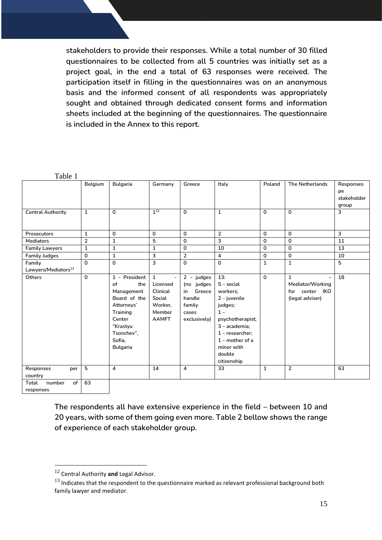**stakeholders to provide their responses. While a total number of 30 filled questionnaires to be collected from all 5 countries was initially set as a project goal, in the end a total of 63 responses were received. The participation itself in filling in the questionnaires was on an anonymous basis and the informed consent of all respondents was appropriately sought and obtained through dedicated consent forms and information sheets included at the beginning of the questionnaires. The questionnaire is included in the Annex to this report.** 

<span id="page-14-0"></span>

|--|--|

| ***** *                         | Belgium        | <b>Bulgaria</b> | Germany                        | Greece         | Italy                   | Poland       | <b>The Netherlands</b>                   | Responses   |
|---------------------------------|----------------|-----------------|--------------------------------|----------------|-------------------------|--------------|------------------------------------------|-------------|
|                                 |                |                 |                                |                |                         |              |                                          | pe          |
|                                 |                |                 |                                |                |                         |              |                                          | stakeholder |
|                                 |                |                 |                                |                |                         |              |                                          | group       |
| <b>Central Authority</b>        | $\mathbf{1}$   | $\mathbf{0}$    | $1^{12}$                       | $\Omega$       | $\mathbf{1}$            | $\mathbf 0$  | $\mathbf 0$                              | 3           |
|                                 |                |                 |                                |                |                         |              |                                          |             |
|                                 |                |                 |                                |                |                         |              |                                          |             |
| Prosecutors                     | $\mathbf{1}$   | $\mathbf{0}$    | $\Omega$                       | $\Omega$       | $\overline{2}$          | $\mathbf{0}$ | $\mathbf 0$                              | 3           |
| <b>Mediators</b>                | $\overline{2}$ | $\mathbf{1}$    | 5                              | $\Omega$       | 3                       | $\mathbf 0$  | $\Omega$                                 | 11          |
| <b>Family Lawyers</b>           | $\mathbf{1}$   | $\mathbf{1}$    | $\mathbf 1$                    | $\mathbf 0$    | 10                      | $\mathbf 0$  | $\mathbf 0$                              | 13          |
| <b>Family Judges</b>            | $\mathbf 0$    | $\mathbf{1}$    | 3                              | $\overline{2}$ | $\overline{\mathbf{4}}$ | $\mathbf 0$  | $\mathbf 0$                              | 10          |
| Family                          | $\Omega$       | $\mathbf{0}$    | 3                              | $\Omega$       | $\mathbf 0$             | $\mathbf{1}$ | $\mathbf{1}$                             | 5           |
| Lawyers/Mediators <sup>13</sup> |                |                 |                                |                |                         |              |                                          |             |
| Others                          | $\mathbf 0$    | 1 - President   | $\mathbf{1}$<br>$\blacksquare$ | $2 - j$ udges  | 13:                     | $\mathbf{0}$ | $\mathbf{1}$<br>$\overline{\phantom{0}}$ | 18          |
|                                 |                | of<br>the       | Licensed                       | (no judges     | $5 -$ social            |              | Mediator/Working                         |             |
|                                 |                | Management      | Clinical                       | Greece<br>in   | workers:                |              | for center IKO                           |             |
|                                 |                | Board of the    | Social                         | handle         | $2 -$ juvenile          |              | (legal adviser)                          |             |
|                                 |                | Attorneys'      | Worker,                        | family         | judges;                 |              |                                          |             |
|                                 |                | <b>Training</b> | Member                         | cases          | $1 -$                   |              |                                          |             |
|                                 |                | Center          | <b>AAMFT</b>                   | exclusively)   | psychotherapist;        |              |                                          |             |
|                                 |                | "Krastyu        |                                |                | 3 - academia:           |              |                                          |             |
|                                 |                | Tsonchev",      |                                |                | $1 -$ researcher;       |              |                                          |             |
|                                 |                | Sofia.          |                                |                | $1$ – mother of a       |              |                                          |             |
|                                 |                | <b>Bulgaria</b> |                                |                | minor with              |              |                                          |             |
|                                 |                |                 |                                |                | double                  |              |                                          |             |
|                                 |                |                 |                                |                | citizenship             |              |                                          |             |
| Responses<br>per                | 5              | $\overline{4}$  | 14                             | 4              | 33                      | $\mathbf{1}$ | $\overline{2}$                           | 63          |
| country                         |                |                 |                                |                |                         |              |                                          |             |
| of<br>number<br>Total           | 63             |                 |                                |                |                         |              |                                          |             |
| responses                       |                |                 |                                |                |                         |              |                                          |             |

The respondents all have extensive experience in the field – between 10 and **20 years, with some of them going even more. Table 2 bellow shows the range of experience of each stakeholder group.**

<sup>12</sup> Central Authority **and** Legal Advisor.

 $13$  Indicates that the respondent to the questionnaire marked as relevant professional background both family lawyer and mediator.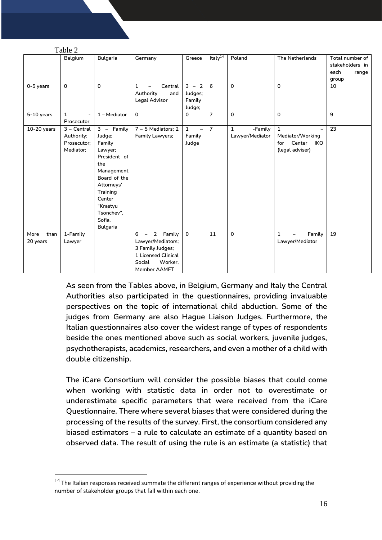|                          | $1$ able $2$                                            |                                                                                                                                                                                              |                                                                                                                        |                                                      |                |                                            |                                                                             |                                                              |
|--------------------------|---------------------------------------------------------|----------------------------------------------------------------------------------------------------------------------------------------------------------------------------------------------|------------------------------------------------------------------------------------------------------------------------|------------------------------------------------------|----------------|--------------------------------------------|-----------------------------------------------------------------------------|--------------------------------------------------------------|
|                          | Belgium                                                 | <b>Bulgaria</b>                                                                                                                                                                              | Germany                                                                                                                | Greece                                               | Italy $14$     | Poland                                     | The Netherlands                                                             | Total number of<br>stakeholders in<br>each<br>range<br>group |
| 0-5 years                | $\mathbf 0$                                             | $\Omega$                                                                                                                                                                                     | $\mathbf{1}$<br>Central<br>Authority<br>and<br><b>Legal Advisor</b>                                                    | $3 - 2$<br>Judges;<br>Family<br>Judge;               | 6              | $\mathbf{0}$                               | $\mathbf{0}$                                                                | 10                                                           |
| $5-10$ years             | $\mathbf{1}$<br>$\overline{\phantom{a}}$<br>Prosecutor  | 1 - Mediator                                                                                                                                                                                 | 0                                                                                                                      | $\mathbf 0$                                          | $\overline{7}$ | $\mathbf{0}$                               | $\mathbf{0}$                                                                | 9                                                            |
| $10-20$ years            | $3 - Central$<br>Authority;<br>Prosecutor;<br>Mediator; | $3 - F$ amily<br>Judge;<br>Family<br>Lawyer;<br>President of<br>the<br>Management<br>Board of the<br>Attorneys'<br>Training<br>Center<br>"Krastyu<br>Tsonchev",<br>Sofia,<br><b>Bulgaria</b> | 7 - 5 Mediators; 2<br><b>Family Lawyers;</b>                                                                           | $\mathbf{1}$<br>$\qquad \qquad -$<br>Family<br>Judge | $\overline{7}$ | $\mathbf{1}$<br>-Family<br>Lawyer/Mediator | $\mathbf{1}$<br>Mediator/Working<br>Center<br>IKO<br>for<br>(legal adviser) | 23                                                           |
| than<br>More<br>20 years | 1-Family<br>Lawyer                                      |                                                                                                                                                                                              | 2 Family<br>$6 -$<br>Lawyer/Mediators;<br>3 Family Judges;<br>1 Licensed Clinical<br>Social<br>Worker,<br>Member AAMFT | $\mathbf 0$                                          | 11             | $\Omega$                                   | $\mathbf{1}$<br>Family<br>$\qquad \qquad -$<br>Lawyer/Mediator              | 19                                                           |

<span id="page-15-0"></span> $T-1.1.2$ 

**As seen from the Tables above, in Belgium, Germany and Italy the Central Authorities also participated in the questionnaires, providing invaluable perspectives on the topic of international child abduction. Some of the judges from Germany are also Hague Liaison Judges. Furthermore, the Italian questionnaires also cover the widest range of types of respondents beside the ones mentioned above such as social workers, juvenile judges, psychotherapists, academics, researchers, and even a mother of a child with double citizenship.** 

**The iCare Consortium will consider the possible biases that could come when working with statistic data in order not to overestimate or underestimate specific parameters that were received from the iCare Questionnaire. There where several biases that were considered during the processing of the results of the survey. First, the consortium considered any biased estimators – a rule to calculate an estimate of a quantity based on observed data. The result of using the rule is an estimate (a statistic) that** 

 $14$  The Italian responses received summate the different ranges of experience without providing the number of stakeholder groups that fall within each one.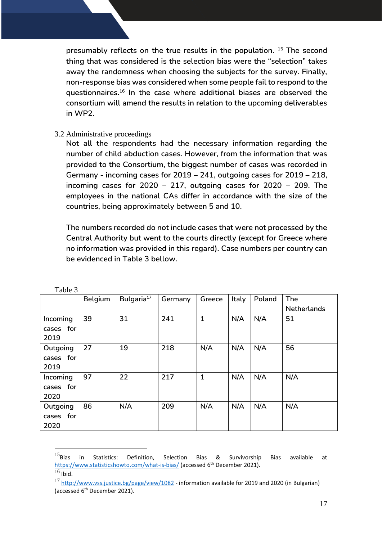**presumably reflects on the true results in the population. <sup>15</sup> The second thing that was considered is the selection bias were the "selection" takes away the randomness when choosing the subjects for the survey. Finally, non-response bias was considered when some people fail to respond to the questionnaires.<sup>16</sup> In the case where additional biases are observed the consortium will amend the results in relation to the upcoming deliverables in WP2.** 

#### 3.2 Administrative proceedings

**Not all the respondents had the necessary information regarding the number of child abduction cases. However, from the information that was provided to the Consortium, the biggest number of cases was recorded in Germany - incoming cases for 2019 – 241, outgoing cases for 2019 – 218, incoming cases for 2020 – 217, outgoing cases for 2020 – 209. The employees in the national CAs differ in accordance with the size of the countries, being approximately between 5 and 10.** 

**The numbers recorded do not include cases that were not processed by the Central Authority but went to the courts directly (except for Greece where no information was provided in this regard). Case numbers per country can be evidenced in Table 3 bellow.**

| t avit J  |         |                        |         |              |       |        |                    |
|-----------|---------|------------------------|---------|--------------|-------|--------|--------------------|
|           | Belgium | Bulgaria <sup>17</sup> | Germany | Greece       | Italy | Poland | The                |
|           |         |                        |         |              |       |        | <b>Netherlands</b> |
| Incoming  | 39      | 31                     | 241     | $\mathbf{1}$ | N/A   | N/A    | 51                 |
| cases for |         |                        |         |              |       |        |                    |
| 2019      |         |                        |         |              |       |        |                    |
| Outgoing  | 27      | 19                     | 218     | N/A          | N/A   | N/A    | 56                 |
| cases for |         |                        |         |              |       |        |                    |
| 2019      |         |                        |         |              |       |        |                    |
| Incoming  | 97      | 22                     | 217     | $\mathbf{1}$ | N/A   | N/A    | N/A                |
| cases for |         |                        |         |              |       |        |                    |
| 2020      |         |                        |         |              |       |        |                    |
| Outgoing  | 86      | N/A                    | 209     | N/A          | N/A   | N/A    | N/A                |
| cases for |         |                        |         |              |       |        |                    |
| 2020      |         |                        |         |              |       |        |                    |

<span id="page-16-0"></span>Table 3

 $^{15}$ Bias in Statistics: Definition, Selection Bias & Survivorship Bias available at <https://www.statisticshowto.com/what-is-bias/> (accessed 6<sup>th</sup> December 2021).  $16$  Ibid.

<sup>&</sup>lt;sup>17</sup> <http://www.vss.justice.bg/page/view/1082> - information available for 2019 and 2020 (in Bulgarian) (accessed 6th December 2021).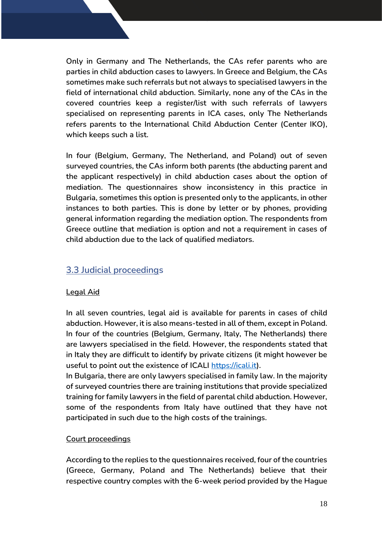**Only in Germany and The Netherlands, the CAs refer parents who are parties in child abduction cases to lawyers. In Greece and Belgium, the CAs sometimes make such referrals but not always to specialised lawyers in the field of international child abduction. Similarly, none any of the CAs in the covered countries keep a register/list with such referrals of lawyers specialised on representing parents in ICA cases, only The Netherlands refers parents to the International Child Abduction Center (Center IKO), which keeps such a list.**

**In four (Belgium, Germany, The Netherland, and Poland) out of seven surveyed countries, the CAs inform both parents (the abducting parent and the applicant respectively) in child abduction cases about the option of mediation. The questionnaires show inconsistency in this practice in Bulgaria, sometimes this option is presented only to the applicants, in other instances to both parties. This is done by letter or by phones, providing general information regarding the mediation option. The respondents from Greece outline that mediation is option and not a requirement in cases of child abduction due to the lack of qualified mediators.**

## <span id="page-17-0"></span>**3.3 Judicial proceedings**

### **Legal Aid**

**In all seven countries, legal aid is available for parents in cases of child abduction. However, it is also means-tested in all of them, except in Poland. In four of the countries (Belgium, Germany, Italy, The Netherlands) there are lawyers specialised in the field. However, the respondents stated that in Italy they are difficult to identify by private citizens (it might however be useful to point out the existence of ICALI [https://icali.it\)](https://icali.it/).**

**In Bulgaria, there are only lawyers specialised in family law. In the majority of surveyed countries there are training institutions that provide specialized training for family lawyers in the field of parental child abduction. However, some of the respondents from Italy have outlined that they have not participated in such due to the high costs of the trainings.** 

### **Court proceedings**

**According to the replies to the questionnaires received, four of the countries (Greece, Germany, Poland and The Netherlands) believe that their respective country comples with the 6-week period provided by the Hague**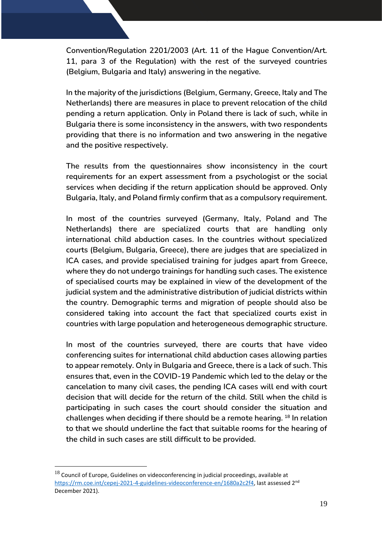**Convention/Regulation 2201/2003 (Art. 11 of the Hague Convention/Art. 11, para 3 of the Regulation) with the rest of the surveyed countries (Belgium, Bulgaria and Italy) answering in the negative.** 

**In the majority of the jurisdictions (Belgium, Germany, Greece, Italy and The Netherlands) there are measures in place to prevent relocation of the child pending a return application. Only in Poland there is lack of such, while in Bulgaria there is some inconsistency in the answers, with two respondents providing that there is no information and two answering in the negative and the positive respectively.** 

**The results from the questionnaires show inconsistency in the court requirements for an expert assessment from a psychologist or the social services when deciding if the return application should be approved. Only Bulgaria, Italy, and Poland firmly confirm that as a compulsory requirement.** 

**In most of the countries surveyed (Germany, Italy, Poland and The Netherlands) there are specialized courts that are handling only international child abduction cases. In the countries without specialized courts (Belgium, Bulgaria, Greece), there are judges that are specialized in ICA cases, and provide specialised training for judges apart from Greece, where they do not undergo trainings for handling such cases. The existence of specialised courts may be explained in view of the development of the judicial system and the administrative distribution of judicial districts within the country. Demographic terms and migration of people should also be considered taking into account the fact that specialized courts exist in countries with large population and heterogeneous demographic structure.**

**In most of the countries surveyed, there are courts that have video conferencing suites for international child abduction cases allowing parties to appear remotely. Only in Bulgaria and Greece, there is a lack of such. This ensures that, even in the COVID-19 Pandemic which led to the delay or the cancelation to many civil cases, the pending ICA cases will end with court decision that will decide for the return of the child. Still when the child is participating in such cases the court should consider the situation and challenges when deciding if there should be a remote hearing. <sup>18</sup> In relation to that we should underline the fact that suitable rooms for the hearing of the child in such cases are still difficult to be provided.** 

 $^{18}$  Council of Europe, Guidelines on videoconferencing in judicial proceedings, available at [https://rm.coe.int/cepej-2021-4-guidelines-videoconference-en/1680a2c2f4,](https://rm.coe.int/cepej-2021-4-guidelines-videoconference-en/1680a2c2f4) last assessed 2<sup>nd</sup> December 2021).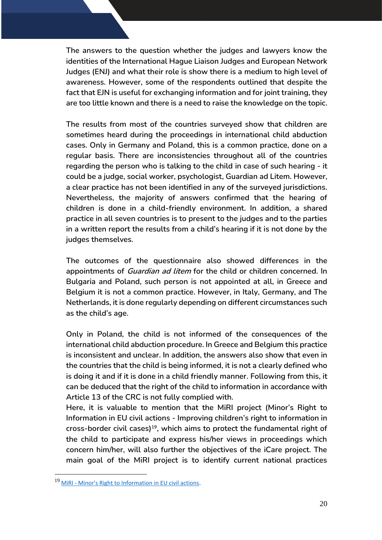**The answers to the question whether the judges and lawyers know the identities of the International Hague Liaison Judges and European Network Judges (ENJ) and what their role is show there is a medium to high level of awareness. However, some of the respondents outlined that despite the fact that EJN is useful for exchanging information and for joint training, they are too little known and there is a need to raise the knowledge on the topic.** 

**The results from most of the countries surveyed show that children are sometimes heard during the proceedings in international child abduction cases. Only in Germany and Poland, this is a common practice, done on a regular basis. There are inconsistencies throughout all of the countries regarding the person who is talking to the child in case of such hearing - it could be a judge, social worker, psychologist, Guardian ad Litem. However, a clear practice has not been identified in any of the surveyed jurisdictions. Nevertheless, the majority of answers confirmed that the hearing of children is done in a child-friendly environment. In addition, a shared practice in all seven countries is to present to the judges and to the parties in a written report the results from a child's hearing if it is not done by the judges themselves.** 

**The outcomes of the questionnaire also showed differences in the appointments of Guardian ad litem for the child or children concerned. In Bulgaria and Poland, such person is not appointed at all, in Greece and Belgium it is not a common practice. However, in Italy, Germany, and The Netherlands, it is done regularly depending on different circumstances such as the child's age.** 

**Only in Poland, the child is not informed of the consequences of the international child abduction procedure. In Greece and Belgium this practice is inconsistent and unclear. In addition, the answers also show that even in the countries that the child is being informed, it is not a clearly defined who is doing it and if it is done in a child friendly manner. Following from this, it can be deduced that the right of the child to information in accordance with Article 13 of the CRC is not fully complied with.** 

**Here, it is valuable to mention that the MiRI project (Minor's Right to Information in EU civil actions - Improving children's right to information in cross-border civil cases)<sup>19</sup>, which aims to protect the fundamental right of the child to participate and express his/her views in proceedings which concern him/her, will also further the objectives of the iCare project. The main goal of the MiRI project is to identify current national practices** 

<sup>19</sup> MiRI - [Minor's Right to Information in EU civil actions.](http://www.defenceforchildren.it/projects/247-miri-minor-s-right-to-information-in-eu-civil-actions.html)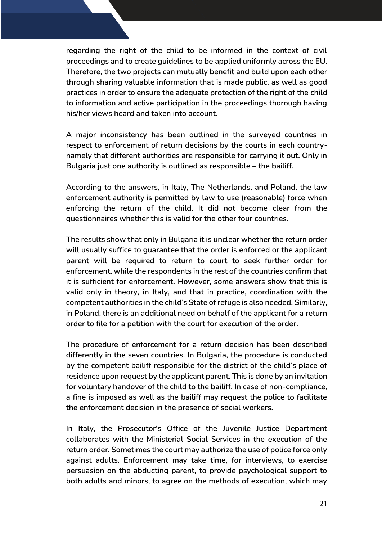**regarding the right of the child to be informed in the context of civil proceedings and to create guidelines to be applied uniformly across the EU. Therefore, the two projects can mutually benefit and build upon each other through sharing valuable information that is made public, as well as good practices in order to ensure the adequate protection of the right of the child to information and active participation in the proceedings thorough having his/her views heard and taken into account.** 

**A major inconsistency has been outlined in the surveyed countries in respect to enforcement of return decisions by the courts in each countrynamely that different authorities are responsible for carrying it out. Only in Bulgaria just one authority is outlined as responsible – the bailiff.** 

**According to the answers, in Italy, The Netherlands, and Poland, the law enforcement authority is permitted by law to use (reasonable) force when enforcing the return of the child. It did not become clear from the questionnaires whether this is valid for the other four countries.** 

**The results show that only in Bulgaria it is unclear whether the return order will usually suffice to guarantee that the order is enforced or the applicant parent will be required to return to court to seek further order for enforcement, while the respondents in the rest of the countries confirm that it is sufficient for enforcement. However, some answers show that this is valid only in theory, in Italy, and that in practice, coordination with the competent authorities in the child's State of refuge is also needed. Similarly, in Poland, there is an additional need on behalf of the applicant for a return order to file for a petition with the court for execution of the order.** 

**The procedure of enforcement for a return decision has been described differently in the seven countries. In Bulgaria, the procedure is conducted by the competent bailiff responsible for the district of the child's place of residence upon request by the applicant parent. This is done by an invitation for voluntary handover of the child to the bailiff. In case of non-compliance, a fine is imposed as well as the bailiff may request the police to facilitate the enforcement decision in the presence of social workers.** 

**In Italy, the Prosecutor's Office of the Juvenile Justice Department collaborates with the Ministerial Social Services in the execution of the return order. Sometimes the court may authorize the use of police force only against adults. Enforcement may take time, for interviews, to exercise persuasion on the abducting parent, to provide psychological support to both adults and minors, to agree on the methods of execution, which may**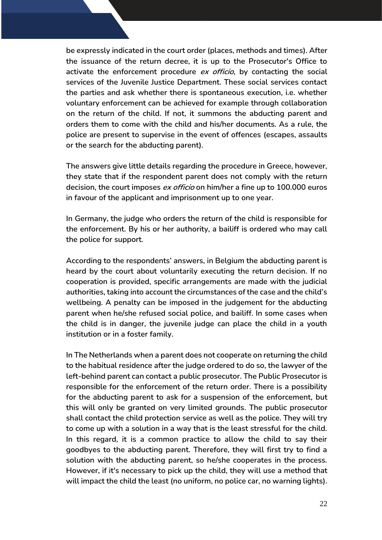**be expressly indicated in the court order (places, methods and times). After the issuance of the return decree, it is up to the Prosecutor's Office to activate the enforcement procedure ex officio, by contacting the social services of the Juvenile Justice Department. These social services contact the parties and ask whether there is spontaneous execution, i.e. whether voluntary enforcement can be achieved for example through collaboration on the return of the child. If not, it summons the abducting parent and orders them to come with the child and his/her documents. As a rule, the police are present to supervise in the event of offences (escapes, assaults or the search for the abducting parent).** 

**The answers give little details regarding the procedure in Greece, however, they state that if the respondent parent does not comply with the return decision, the court imposes ex officio on him/her a fine up to 100.000 euros in favour of the applicant and imprisonment up to one year.** 

**In Germany, the judge who orders the return of the child is responsible for the enforcement. By his or her authority, a bailiff is ordered who may call the police for support.** 

**According to the respondents' answers, in Belgium the abducting parent is heard by the court about voluntarily executing the return decision. If no cooperation is provided, specific arrangements are made with the judicial authorities, taking into account the circumstances of the case and the child's wellbeing. A penalty can be imposed in the judgement for the abducting parent when he/she refused social police, and bailiff. In some cases when the child is in danger, the juvenile judge can place the child in a youth institution or in a foster family.** 

**In The Netherlands when a parent does not cooperate on returning the child to the habitual residence after the judge ordered to do so, the lawyer of the left-behind parent can contact a public prosecutor. The Public Prosecutor is responsible for the enforcement of the return order. There is a possibility for the abducting parent to ask for a suspension of the enforcement, but this will only be granted on very limited grounds. The public prosecutor shall contact the child protection service as well as the police. They will try to come up with a solution in a way that is the least stressful for the child. In this regard, it is a common practice to allow the child to say their goodbyes to the abducting parent. Therefore, they will first try to find a solution with the abducting parent, so he/she cooperates in the process. However, if it's necessary to pick up the child, they will use a method that will impact the child the least (no uniform, no police car, no warning lights).**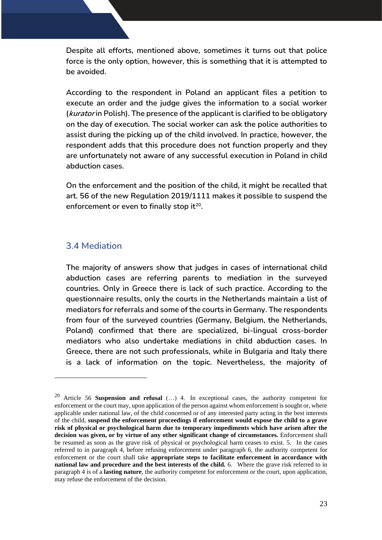**Despite all efforts, mentioned above, sometimes it turns out that police force is the only option, however, this is something that it is attempted to be avoided.** 

**According to the respondent in Poland an applicant files a petition to execute an order and the judge gives the information to a social worker (kurator in Polish). The presence of the applicant is clarified to be obligatory on the day of execution. The social worker can ask the police authorities to assist during the picking up of the child involved. In practice, however, the respondent adds that this procedure does not function properly and they are unfortunately not aware of any successful execution in Poland in child abduction cases.**

**On the enforcement and the position of the child, it might be recalled that art. 56 of the new Regulation 2019/1111 makes it possible to suspend the enforcement or even to finally stop it<sup>20</sup> .** 

### <span id="page-22-0"></span>**3.4 Mediation**

**The majority of answers show that judges in cases of international child abduction cases are referring parents to mediation in the surveyed countries. Only in Greece there is lack of such practice. According to the questionnaire results, only the courts in the Netherlands maintain a list of mediators for referrals and some of the courts in Germany. The respondents from four of the surveyed countries (Germany, Belgium, the Netherlands, Poland) confirmed that there are specialized, bi-lingual cross-border mediators who also undertake mediations in child abduction cases. In Greece, there are not such professionals, while in Bulgaria and Italy there is a lack of information on the topic. Nevertheless, the majority of** 

<sup>20</sup> Article 56 **Suspension and refusal** (…) 4. In exceptional cases, the authority competent for enforcement or the court may, upon application of the person against whom enforcement is sought or, where applicable under national law, of the child concerned or of any interested party acting in the best interests of the child, **suspend the enforcement proceedings if enforcement would expose the child to a grave risk of physical or psychological harm due to temporary impediments which have arisen after the decision was given, or by virtue of any other significant change of circumstances.** Enforcement shall be resumed as soon as the grave risk of physical or psychological harm ceases to exist. 5. In the cases referred to in paragraph 4, before refusing enforcement under paragraph 6, the authority competent for enforcement or the court shall take **appropriate steps to facilitate enforcement in accordance with national law and procedure and the best interests of the child.** 6. Where the grave risk referred to in paragraph 4 is of a **lasting nature**, the authority competent for enforcement or the court, upon application, may refuse the enforcement of the decision.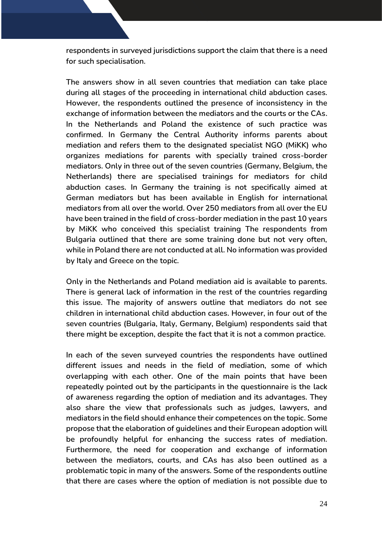**respondents in surveyed jurisdictions support the claim that there is a need for such specialisation.** 

**The answers show in all seven countries that mediation can take place during all stages of the proceeding in international child abduction cases. However, the respondents outlined the presence of inconsistency in the exchange of information between the mediators and the courts or the CAs. In the Netherlands and Poland the existence of such practice was confirmed. In Germany the Central Authority informs parents about mediation and refers them to the designated specialist NGO (MiKK) who organizes mediations for parents with specially trained cross-border mediators. Only in three out of the seven countries (Germany, Belgium, the Netherlands) there are specialised trainings for mediators for child abduction cases. In Germany the training is not specifically aimed at German mediators but has been available in English for international mediators from all over the world. Over 250 mediators from all over the EU have been trained in the field of cross-border mediation in the past 10 years by MiKK who conceived this specialist training The respondents from Bulgaria outlined that there are some training done but not very often, while in Poland there are not conducted at all. No information was provided by Italy and Greece on the topic.** 

**Only in the Netherlands and Poland mediation aid is available to parents. There is general lack of information in the rest of the countries regarding this issue. The majority of answers outline that mediators do not see children in international child abduction cases. However, in four out of the seven countries (Bulgaria, Italy, Germany, Belgium) respondents said that there might be exception, despite the fact that it is not a common practice.** 

**In each of the seven surveyed countries the respondents have outlined different issues and needs in the field of mediation, some of which overlapping with each other. One of the main points that have been repeatedly pointed out by the participants in the questionnaire is the lack of awareness regarding the option of mediation and its advantages. They also share the view that professionals such as judges, lawyers, and mediators in the field should enhance their competences on the topic. Some propose that the elaboration of guidelines and their European adoption will be profoundly helpful for enhancing the success rates of mediation. Furthermore, the need for cooperation and exchange of information between the mediators, courts, and CAs has also been outlined as a problematic topic in many of the answers. Some of the respondents outline that there are cases where the option of mediation is not possible due to**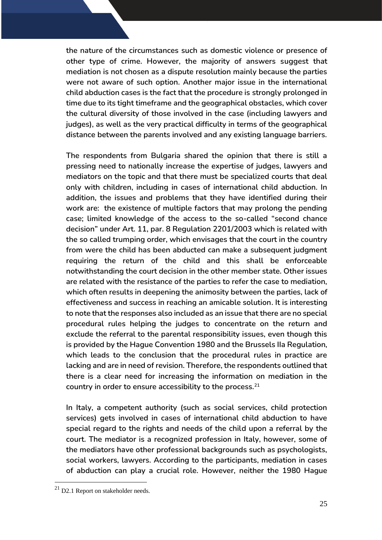**the nature of the circumstances such as domestic violence or presence of other type of crime. However, the majority of answers suggest that mediation is not chosen as a dispute resolution mainly because the parties were not aware of such option. Another major issue in the international child abduction cases is the fact that the procedure is strongly prolonged in time due to its tight timeframe and the geographical obstacles, which cover the cultural diversity of those involved in the case (including lawyers and judges), as well as the very practical difficulty in terms of the geographical distance between the parents involved and any existing language barriers.**

**The respondents from Bulgaria shared the opinion that there is still a pressing need to nationally increase the expertise of judges, lawyers and mediators on the topic and that there must be specialized courts that deal only with children, including in cases of international child abduction. In addition, the issues and problems that they have identified during their work are: the existence of multiple factors that may prolong the pending case; limited knowledge of the access to the so-called "second chance decision" under Art. 11, par. 8 Regulation 2201/2003 which is related with the so called trumping order, which envisages that the court in the country from were the child has been abducted can make a subsequent judgment requiring the return of the child and this shall be enforceable notwithstanding the court decision in the other member state. Other issues are related with the resistance of the parties to refer the case to mediation, which often results in deepening the animosity between the parties, lack of effectiveness and success in reaching an amicable solution. It is interesting to note that the responses also included as an issue that there are no special procedural rules helping the judges to concentrate on the return and exclude the referral to the parental responsibility issues, even though this is provided by the Hague Convention 1980 and the Brussels IIa Regulation, which leads to the conclusion that the procedural rules in practice are lacking and are in need of revision. Therefore, the respondents outlined that there is a clear need for increasing the information on mediation in the country in order to ensure accessibility to the process.<sup>21</sup>**

**In Italy, a competent authority (such as social services, child protection services) gets involved in cases of international child abduction to have special regard to the rights and needs of the child upon a referral by the court. The mediator is a recognized profession in Italy, however, some of the mediators have other professional backgrounds such as psychologists, social workers, lawyers. According to the participants, mediation in cases of abduction can play a crucial role. However, neither the 1980 Hague** 

<sup>&</sup>lt;sup>21</sup> D2.1 Report on stakeholder needs.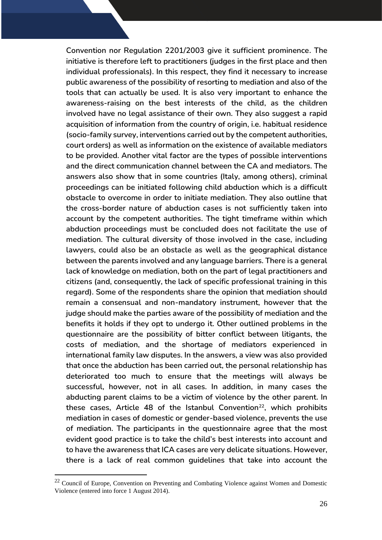**Convention nor Regulation 2201/2003 give it sufficient prominence. The initiative is therefore left to practitioners (judges in the first place and then individual professionals). In this respect, they find it necessary to increase public awareness of the possibility of resorting to mediation and also of the tools that can actually be used. It is also very important to enhance the awareness-raising on the best interests of the child, as the children involved have no legal assistance of their own. They also suggest a rapid acquisition of information from the country of origin, i.e. habitual residence (socio-family survey, interventions carried out by the competent authorities, court orders) as well as information on the existence of available mediators to be provided. Another vital factor are the types of possible interventions and the direct communication channel between the CA and mediators. The answers also show that in some countries (Italy, among others), criminal proceedings can be initiated following child abduction which is a difficult obstacle to overcome in order to initiate mediation. They also outline that the cross-border nature of abduction cases is not sufficiently taken into account by the competent authorities. The tight timeframe within which abduction proceedings must be concluded does not facilitate the use of mediation. The cultural diversity of those involved in the case, including lawyers, could also be an obstacle as well as the geographical distance between the parents involved and any language barriers. There is a general lack of knowledge on mediation, both on the part of legal practitioners and citizens (and, consequently, the lack of specific professional training in this regard). Some of the respondents share the opinion that mediation should remain a consensual and non-mandatory instrument, however that the judge should make the parties aware of the possibility of mediation and the benefits it holds if they opt to undergo it. Other outlined problems in the questionnaire are the possibility of bitter conflict between litigants, the costs of mediation, and the shortage of mediators experienced in international family law disputes. In the answers, a view was also provided that once the abduction has been carried out, the personal relationship has deteriorated too much to ensure that the meetings will always be successful, however, not in all cases. In addition, in many cases the abducting parent claims to be a victim of violence by the other parent. In these cases, Article 48 of the Istanbul Convention<sup>22</sup>, which prohibits mediation in cases of domestic or gender-based violence, prevents the use of mediation. The participants in the questionnaire agree that the most evident good practice is to take the child's best interests into account and to have the awareness that ICA cases are very delicate situations. However, there is a lack of real common guidelines that take into account the** 

<sup>&</sup>lt;sup>22</sup> Council of Europe, Convention on Preventing and Combating Violence against Women and Domestic Violence (entered into force 1 August 2014).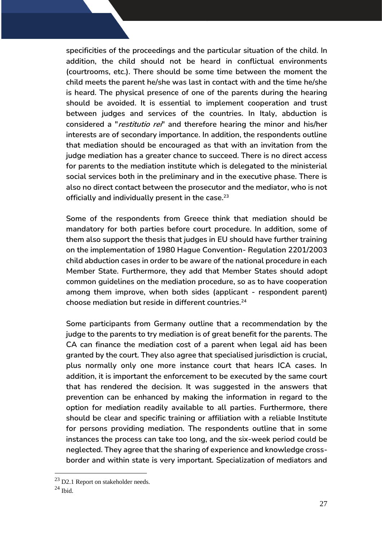**specificities of the proceedings and the particular situation of the child. In addition, the child should not be heard in conflictual environments (courtrooms, etc.). There should be some time between the moment the child meets the parent he/she was last in contact with and the time he/she is heard. The physical presence of one of the parents during the hearing should be avoided. It is essential to implement cooperation and trust between judges and services of the countries. In Italy, abduction is considered a "restitutio rei" and therefore hearing the minor and his/her interests are of secondary importance. In addition, the respondents outline that mediation should be encouraged as that with an invitation from the judge mediation has a greater chance to succeed. There is no direct access for parents to the mediation institute which is delegated to the ministerial social services both in the preliminary and in the executive phase. There is also no direct contact between the prosecutor and the mediator, who is not officially and individually present in the case.<sup>23</sup>**

**Some of the respondents from Greece think that mediation should be mandatory for both parties before court procedure. In addition, some of them also support the thesis that judges in EU should have further training on the implementation of 1980 Hague Convention- Regulation 2201/2003 child abduction cases in order to be aware of the national procedure in each Member State. Furthermore, they add that Member States should adopt common guidelines on the mediation procedure, so as to have cooperation among them improve, when both sides (applicant - respondent parent) choose mediation but reside in different countries.<sup>24</sup>**

**Some participants from Germany outline that a recommendation by the judge to the parents to try mediation is of great benefit for the parents. The CA can finance the mediation cost of a parent when legal aid has been granted by the court. They also agree that specialised jurisdiction is crucial, plus normally only one more instance court that hears ICA cases. In addition, it is important the enforcement to be executed by the same court that has rendered the decision. It was suggested in the answers that prevention can be enhanced by making the information in regard to the option for mediation readily available to all parties. Furthermore, there should be clear and specific training or affiliation with a reliable Institute for persons providing mediation. The respondents outline that in some instances the process can take too long, and the six-week period could be neglected. They agree that the sharing of experience and knowledge crossborder and within state is very important. Specialization of mediators and** 

<sup>&</sup>lt;sup>23</sup> D2.1 Report on stakeholder needs.

 $24$  Ibid.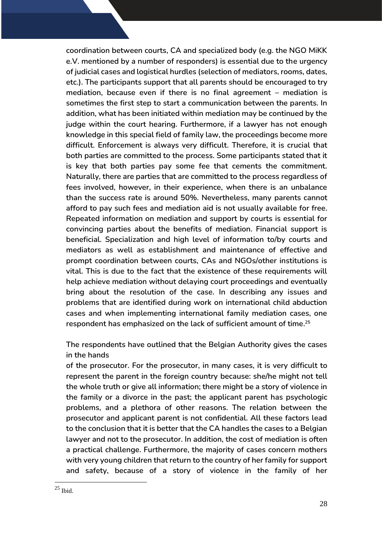**coordination between courts, CA and specialized body (e.g. the NGO MiKK e.V. mentioned by a number of responders) is essential due to the urgency of judicial cases and logistical hurdles (selection of mediators, rooms, dates, etc.). The participants support that all parents should be encouraged to try mediation, because even if there is no final agreement – mediation is sometimes the first step to start a communication between the parents. In addition, what has been initiated within mediation may be continued by the judge within the court hearing. Furthermore, if a lawyer has not enough knowledge in this special field of family law, the proceedings become more difficult. Enforcement is always very difficult. Therefore, it is crucial that both parties are committed to the process. Some participants stated that it is key that both parties pay some fee that cements the commitment. Naturally, there are parties that are committed to the process regardless of fees involved, however, in their experience, when there is an unbalance than the success rate is around 50%. Nevertheless, many parents cannot afford to pay such fees and mediation aid is not usually available for free. Repeated information on mediation and support by courts is essential for convincing parties about the benefits of mediation. Financial support is beneficial. Specialization and high level of information to/by courts and mediators as well as establishment and maintenance of effective and prompt coordination between courts, CAs and NGOs/other institutions is vital. This is due to the fact that the existence of these requirements will help achieve mediation without delaying court proceedings and eventually bring about the resolution of the case. In describing any issues and problems that are identified during work on international child abduction cases and when implementing international family mediation cases, one respondent has emphasized on the lack of sufficient amount of time. 25**

**The respondents have outlined that the Belgian Authority gives the cases in the hands**

**of the prosecutor. For the prosecutor, in many cases, it is very difficult to represent the parent in the foreign country because: she/he might not tell the whole truth or give all information; there might be a story of violence in the family or a divorce in the past; the applicant parent has psychologic problems, and a plethora of other reasons. The relation between the prosecutor and applicant parent is not confidential. All these factors lead to the conclusion that it is better that the CA handles the cases to a Belgian lawyer and not to the prosecutor. In addition, the cost of mediation is often a practical challenge. Furthermore, the majority of cases concern mothers with very young children that return to the country of her family for support and safety, because of a story of violence in the family of her** 

 $25$  Ibid.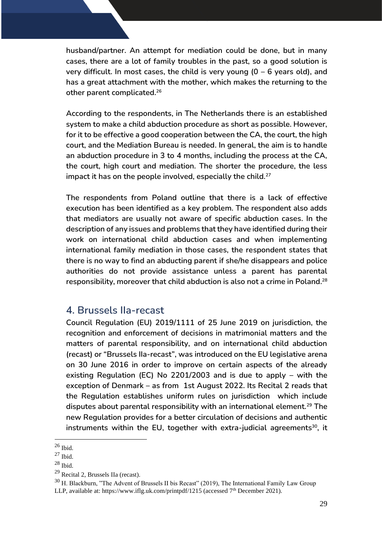**husband/partner. An attempt for mediation could be done, but in many cases, there are a lot of family troubles in the past, so a good solution is very difficult. In most cases, the child is very young (0 – 6 years old), and has a great attachment with the mother, which makes the returning to the other parent complicated.<sup>26</sup>**

**According to the respondents, in The Netherlands there is an established system to make a child abduction procedure as short as possible. However, for it to be effective a good cooperation between the CA, the court, the high court, and the Mediation Bureau is needed. In general, the aim is to handle an abduction procedure in 3 to 4 months, including the process at the CA, the court, high court and mediation. The shorter the procedure, the less impact it has on the people involved, especially the child.<sup>27</sup>**

**The respondents from Poland outline that there is a lack of effective execution has been identified as a key problem. The respondent also adds that mediators are usually not aware of specific abduction cases. In the description of any issues and problems that they have identified during their work on international child abduction cases and when implementing international family mediation in those cases, the respondent states that there is no way to find an abducting parent if she/he disappears and police authorities do not provide assistance unless a parent has parental responsibility, moreover that child abduction is also not a crime in Poland. 28**

## <span id="page-28-0"></span>**4. Brussels IIa-recast**

**Council Regulation (EU) 2019/1111 of 25 June 2019 on jurisdiction, the recognition and enforcement of decisions in matrimonial matters and the matters of parental responsibility, and on international child abduction (recast) or "Brussels IIa-recast", was introduced on the EU legislative arena on 30 June 2016 in order to improve on certain aspects of the already existing Regulation (EC) No 2201/2003 and is due to apply – with the exception of Denmark – as from 1st August 2022. Its Recital 2 reads that the Regulation establishes uniform rules on jurisdiction which include disputes about parental responsibility with an international element.<sup>29</sup> The new Regulation provides for a better circulation of decisions and authentic instruments within the EU, together with extra-judicial agreements<sup>30</sup>, it**

 $26$  Ibid.

 $27$  Ibid.

<sup>28</sup> Ibid.

<sup>29</sup> Recital 2, Brussels IIa (recast).

 $30$  H. Blackburn, "The Advent of Brussels II bis Recast" (2019), The International Family Law Group LLP, available at: https://www.iflg.uk.com/printpdf/1215 (accessed 7<sup>th</sup> December 2021).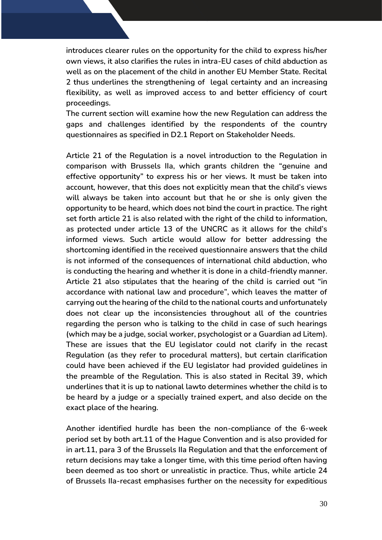**introduces clearer rules on the opportunity for the child to express his/her own views, it also clarifies the rules in intra-EU cases of child abduction as well as on the placement of the child in another EU Member State. Recital 2 thus underlines the strengthening of legal certainty and an increasing flexibility, as well as improved access to and better efficiency of court proceedings.** 

**The current section will examine how the new Regulation can address the gaps and challenges identified by the respondents of the country questionnaires as specified in D2.1 Report on Stakeholder Needs.**

**Article 21 of the Regulation is a novel introduction to the Regulation in comparison with Brussels IIa, which grants children the "genuine and effective opportunity" to express his or her views. It must be taken into account, however, that this does not explicitly mean that the child's views will always be taken into account but that he or she is only given the opportunity to be heard, which does not bind the court in practice. The right set forth article 21 is also related with the right of the child to information, as protected under article 13 of the UNCRC as it allows for the child's informed views. Such article would allow for better addressing the shortcoming identified in the received questionnaire answers that the child is not informed of the consequences of international child abduction, who is conducting the hearing and whether it is done in a child-friendly manner. Article 21 also stipulates that the hearing of the child is carried out "in accordance with national law and procedure", which leaves the matter of carrying out the hearing of the child to the national courts and unfortunately does not clear up the inconsistencies throughout all of the countries regarding the person who is talking to the child in case of such hearings (which may be a judge, social worker, psychologist or a Guardian ad Litem). These are issues that the EU legislator could not clarify in the recast Regulation (as they refer to procedural matters), but certain clarification could have been achieved if the EU legislator had provided guidelines in the preamble of the Regulation. This is also stated in Recital 39, which underlines that it is up to national lawto determines whether the child is to be heard by a judge or a specially trained expert, and also decide on the exact place of the hearing.**

**Another identified hurdle has been the non-compliance of the 6-week period set by both art.11 of the Hague Convention and is also provided for in art.11, para 3 of the Brussels IIa Regulation and that the enforcement of return decisions may take a longer time, with this time period often having been deemed as too short or unrealistic in practice. Thus, while article 24 of Brussels IIa-recast emphasises further on the necessity for expeditious**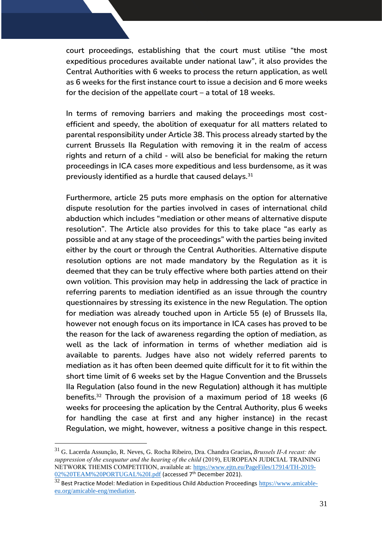**court proceedings, establishing that the court must utilise "the most expeditious procedures available under national law", it also provides the Central Authorities with 6 weeks to process the return application, as well as 6 weeks for the first instance court to issue a decision and 6 more weeks for the decision of the appellate court – a total of 18 weeks.**

**In terms of removing barriers and making the proceedings most costefficient and speedy, the abolition of exequatur for all matters related to parental responsibility under Article 38. This process already started by the current Brussels IIa Regulation with removing it in the realm of access rights and return of a child - will also be beneficial for making the return proceedings in ICA cases more expeditious and less burdensome, as it was previously identified as a hurdle that caused delays.<sup>31</sup>**

**Furthermore, article 25 puts more emphasis on the option for alternative dispute resolution for the parties involved in cases of international child abduction which includes "mediation or other means of alternative dispute resolution". The Article also provides for this to take place "as early as possible and at any stage of the proceedings" with the parties being invited either by the court or through the Central Authorities. Alternative dispute resolution options are not made mandatory by the Regulation as it is deemed that they can be truly effective where both parties attend on their own volition. This provision may help in addressing the lack of practice in referring parents to mediation identified as an issue through the country questionnaires by stressing its existence in the new Regulation. The option for mediation was already touched upon in Article 55 (e) of Brussels IIa, however not enough focus on its importance in ICA cases has proved to be the reason for the lack of awareness regarding the option of mediation, as well as the lack of information in terms of whether mediation aid is available to parents. Judges have also not widely referred parents to mediation as it has often been deemed quite difficult for it to fit within the short time limit of 6 weeks set by the Hague Convention and the Brussels IIa Regulation (also found in the new Regulation) although it has multiple benefits.<sup>32</sup> Through the provision of a maximum period of 18 weeks (6 weeks for proceesing the aplication by the Central Authority, plus 6 weeks for handling the case at first and any higher instance) in the recast Regulation, we might, however, witness a positive change in this respect.**

<sup>31</sup> G. Lacerda Assunção, R. Neves, G. Rocha Ribeiro, Dra. Chandra Gracias**,** *Brussels II-A recast: the suppression of the exequatur and the hearing of the child* (2019), EUROPEAN JUDICIAL TRAINING NETWORK THEMIS COMPETITION, available at: [https://www.ejtn.eu/PageFiles/17914/TH-2019-](https://www.ejtn.eu/PageFiles/17914/TH-2019-02%20TEAM%20PORTUGAL%20I.pdf) [02%20TEAM%20PORTUGAL%20I.pdf](https://www.ejtn.eu/PageFiles/17914/TH-2019-02%20TEAM%20PORTUGAL%20I.pdf) (accessed 7th December 2021).

<sup>&</sup>lt;sup>32</sup> Best Practice Model: Mediation in Expeditious Child Abduction Proceedings [https://www.amicable](https://www.amicable-eu.org/amicable-eng/mediation)[eu.org/amicable-eng/mediation.](https://www.amicable-eu.org/amicable-eng/mediation)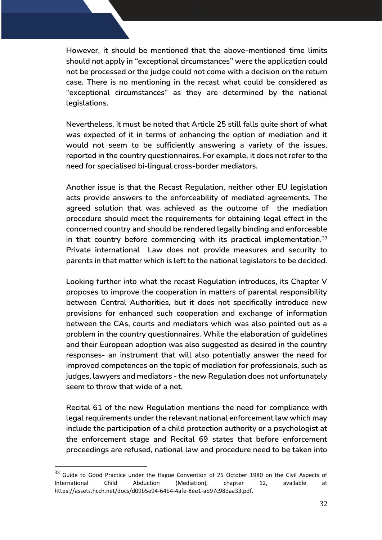**However, it should be mentioned that the above-mentioned time limits should not apply in "exceptional circumstances" were the application could not be processed or the judge could not come with a decision on the return case. There is no mentioning in the recast what could be considered as "exceptional circumstances" as they are determined by the national legislations.** 

**Nevertheless, it must be noted that Article 25 still falls quite short of what was expected of it in terms of enhancing the option of mediation and it would not seem to be sufficiently answering a variety of the issues, reported in the country questionnaires. For example, it does not refer to the need for specialised bi-lingual cross-border mediators.** 

**Another issue is that the Recast Regulation, neither other EU legislation acts provide answers to the enforceability of mediated agreements. The agreed solution that was achieved as the outcome of the mediation procedure should meet the requirements for obtaining legal effect in the concerned country and should be rendered legally binding and enforceable in that country before commencing with its practical implementation.<sup>33</sup> Private international Law does not provide measures and security to parents in that matter which is left to the national legislators to be decided.** 

**Looking further into what the recast Regulation introduces, its Chapter V proposes to improve the cooperation in matters of parental responsibility between Central Authorities, but it does not specifically introduce new provisions for enhanced such cooperation and exchange of information between the CAs, courts and mediators which was also pointed out as a problem in the country questionnaires. While the elaboration of guidelines and their European adoption was also suggested as desired in the country responses- an instrument that will also potentially answer the need for improved competences on the topic of mediation for professionals, such as judges, lawyers and mediators - the new Regulation does not unfortunately seem to throw that wide of a net.**

**Recital 61 of the new Regulation mentions the need for compliance with legal requirements under the relevant national enforcement law which may include the participation of a child protection authority or a psychologist at the enforcement stage and Recital 69 states that before enforcement proceedings are refused, national law and procedure need to be taken into** 

 $33$  Guide to Good Practice under the Hague Convention of 25 October 1980 on the Civil Aspects of International Child Abduction (Mediation), chapter 12, available at https://assets.hcch.net/docs/d09b5e94-64b4-4afe-8ee1-ab97c98daa33.pdf.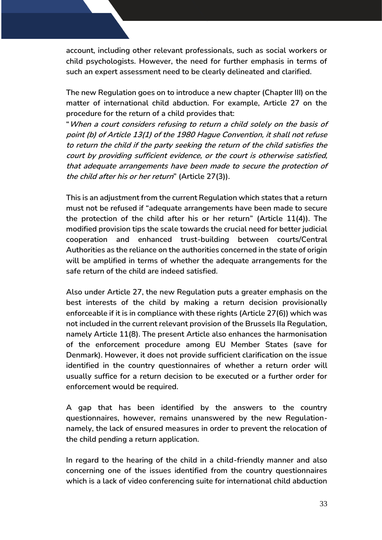**account, including other relevant professionals, such as social workers or child psychologists. However, the need for further emphasis in terms of such an expert assessment need to be clearly delineated and clarified.**

**The new Regulation goes on to introduce a new chapter (Chapter III) on the matter of international child abduction. For example, Article 27 on the procedure for the return of a child provides that:** 

**"When a court considers refusing to return a child solely on the basis of point (b) of Article 13(1) of the 1980 Hague Convention, it shall not refuse to return the child if the party seeking the return of the child satisfies the court by providing sufficient evidence, or the court is otherwise satisfied, that adequate arrangements have been made to secure the protection of the child after his or her return" (Article 27(3)).** 

**This is an adjustment from the current Regulation which states that a return must not be refused if "adequate arrangements have been made to secure the protection of the child after his or her return" (Article 11(4)). The modified provision tips the scale towards the crucial need for better judicial cooperation and enhanced trust-building between courts/Central Authorities as the reliance on the authorities concerned in the state of origin will be amplified in terms of whether the adequate arrangements for the safe return of the child are indeed satisfied.**

**Also under Article 27, the new Regulation puts a greater emphasis on the best interests of the child by making a return decision provisionally enforceable if it is in compliance with these rights (Article 27(6)) which was not included in the current relevant provision of the Brussels IIa Regulation, namely Article 11(8). The present Article also enhances the harmonisation of the enforcement procedure among EU Member States (save for Denmark). However, it does not provide sufficient clarification on the issue identified in the country questionnaires of whether a return order will usually suffice for a return decision to be executed or a further order for enforcement would be required.** 

**A gap that has been identified by the answers to the country questionnaires, however, remains unanswered by the new Regulationnamely, the lack of ensured measures in order to prevent the relocation of the child pending a return application.** 

**In regard to the hearing of the child in a child-friendly manner and also concerning one of the issues identified from the country questionnaires which is a lack of video conferencing suite for international child abduction**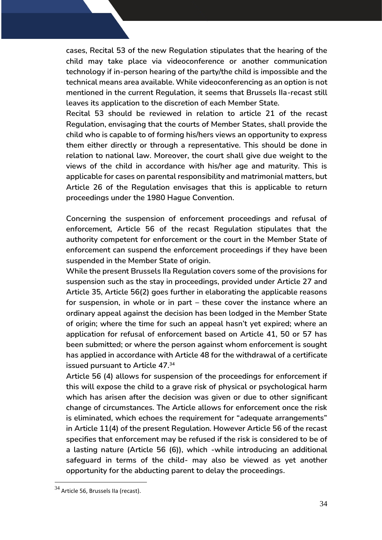**cases, Recital 53 of the new Regulation stipulates that the hearing of the child may take place via videoconference or another communication technology if in-person hearing of the party/the child is impossible and the technical means area available. While videoconferencing as an option is not mentioned in the current Regulation, it seems that Brussels IIa-recast still leaves its application to the discretion of each Member State.** 

**Recital 53 should be reviewed in relation to article 21 of the recast Regulation, envisaging that the courts of Member States, shall provide the child who is capable to of forming his/hers views an opportunity to express them either directly or through a representative. This should be done in relation to national law. Moreover, the court shall give due weight to the views of the child in accordance with his/her age and maturity. This is applicable for cases on parental responsibility and matrimonial matters, but Article 26 of the Regulation envisages that this is applicable to return proceedings under the 1980 Hague Convention.** 

**Concerning the suspension of enforcement proceedings and refusal of enforcement, Article 56 of the recast Regulation stipulates that the authority competent for enforcement or the court in the Member State of enforcement can suspend the enforcement proceedings if they have been suspended in the Member State of origin.** 

**While the present Brussels IIa Regulation covers some of the provisions for suspension such as the stay in proceedings, provided under Article 27 and Article 35, Article 56(2) goes further in elaborating the applicable reasons for suspension, in whole or in part – these cover the instance where an ordinary appeal against the decision has been lodged in the Member State of origin; where the time for such an appeal hasn't yet expired; where an application for refusal of enforcement based on Article 41, 50 or 57 has been submitted; or where the person against whom enforcement is sought has applied in accordance with Article 48 for the withdrawal of a certificate issued pursuant to Article 47.<sup>34</sup>**

**Article 56 (4) allows for suspension of the proceedings for enforcement if this will expose the child to a grave risk of physical or psychological harm which has arisen after the decision was given or due to other significant change of circumstances. The Article allows for enforcement once the risk is eliminated, which echoes the requirement for "adequate arrangements" in Article 11(4) of the present Regulation. However Article 56 of the recast specifies that enforcement may be refused if the risk is considered to be of a lasting nature (Article 56 (6)), which -while introducing an additional safeguard in terms of the child- may also be viewed as yet another opportunity for the abducting parent to delay the proceedings.**

<sup>&</sup>lt;sup>34</sup> Article 56, Brussels IIa (recast).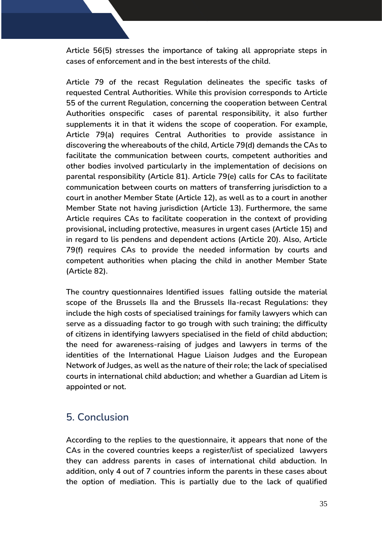**Article 56(5) stresses the importance of taking all appropriate steps in cases of enforcement and in the best interests of the child.**

**Article 79 of the recast Regulation delineates the specific tasks of requested Central Authorities. While this provision corresponds to Article 55 of the current Regulation, concerning the cooperation between Central Authorities onspecific cases of parental responsibility, it also further supplements it in that it widens the scope of cooperation. For example, Аrticle 79(a) requires Central Authorities to provide assistance in discovering the whereabouts of the child, Article 79(d) demands the CAs to facilitate the communication between courts, competent authorities and other bodies involved particularly in the implementation of decisions on parental responsibility (Article 81). Article 79(e) calls for CAs to facilitate communication between courts on matters of transferring jurisdiction to a court in another Member State (Article 12), as well as to a court in another Member State not having jurisdiction (Article 13). Furthermore, the same Article requires CAs to facilitate cooperation in the context of providing provisional, including protective, measures in urgent cases (Article 15) and in regard to lis pendens and dependent actions (Article 20). Also, Article 79(f) requires CAs to provide the needed information by courts and competent authorities when placing the child in another Member State (Article 82).**

**The country questionnaires Identified issues falling outside the material scope of the Brussels IIa and the Brussels IIa-recast Regulations: they include the high costs of specialised trainings for family lawyers which can serve as a dissuading factor to go trough with such training; the difficulty of citizens in identifying lawyers specialised in the field of child abduction; the need for awareness-raising of judges and lawyers in terms of the identities of the International Hague Liaison Judges and the European Network of Judges, as well as the nature of their role; the lack of specialised courts in international child abduction; and whether a Guardian ad Litem is appointed or not.** 

## <span id="page-34-0"></span>**5. Conclusion**

**According to the replies to the questionnaire, it appears that none of the CAs in the covered countries keeps a register/list of specialized lawyers they can address parents in cases of international child abduction. In addition, only 4 out of 7 countries inform the parents in these cases about the option of mediation. This is partially due to the lack of qualified**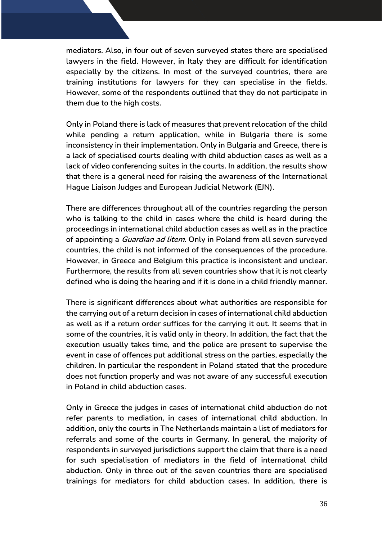**mediators. Also, in four out of seven surveyed states there are specialised lawyers in the field. However, in Italy they are difficult for identification especially by the citizens. In most of the surveyed countries, there are training institutions for lawyers for they can specialise in the fields. However, some of the respondents outlined that they do not participate in them due to the high costs.**

**Only in Poland there is lack of measures that prevent relocation of the child while pending a return application, while in Bulgaria there is some inconsistency in their implementation. Only in Bulgaria and Greece, there is a lack of specialised courts dealing with child abduction cases as well as a lack of video conferencing suites in the courts. In addition, the results show that there is a general need for raising the awareness of the International Hague Liaison Judges and European Judicial Network (EJN).**

**There are differences throughout all of the countries regarding the person who is talking to the child in cases where the child is heard during the proceedings in international child abduction cases as well as in the practice of appointing a Guardian ad litem. Only in Poland from all seven surveyed countries, the child is not informed of the consequences of the procedure. However, in Greece and Belgium this practice is inconsistent and unclear. Furthermore, the results from all seven countries show that it is not clearly defined who is doing the hearing and if it is done in a child friendly manner.**

**There is significant differences about what authorities are responsible for the carrying out of a return decision in cases of international child abduction as well as if a return order suffices for the carrying it out. It seems that in some of the countries, it is valid only in theory. In addition, the fact that the execution usually takes time, and the police are present to supervise the event in case of offences put additional stress on the parties, especially the children. In particular the respondent in Poland stated that the procedure does not function properly and was not aware of any successful execution in Poland in child abduction cases.**

**Only in Greece the judges in cases of international child abduction do not refer parents to mediation, in cases of international child abduction. In addition, only the courts in The Netherlands maintain a list of mediators for referrals and some of the courts in Germany. In general, the majority of respondents in surveyed jurisdictions support the claim that there is a need for such specialisation of mediators in the field of international child abduction. Only in three out of the seven countries there are specialised trainings for mediators for child abduction cases. In addition, there is**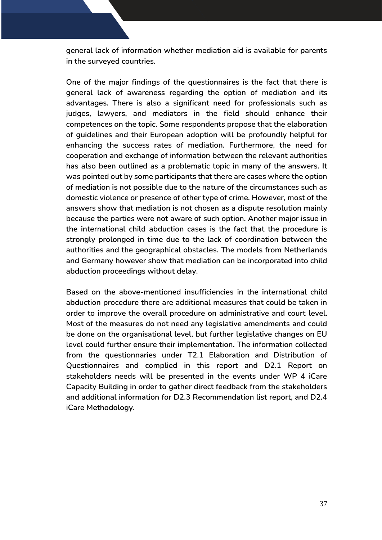**general lack of information whether mediation aid is available for parents in the surveyed countries.** 

**One of the major findings of the questionnaires is the fact that there is general lack of awareness regarding the option of mediation and its advantages. There is also a significant need for professionals such as judges, lawyers, and mediators in the field should enhance their competences on the topic. Some respondents propose that the elaboration of guidelines and their European adoption will be profoundly helpful for enhancing the success rates of mediation. Furthermore, the need for cooperation and exchange of information between the relevant authorities has also been outlined as a problematic topic in many of the answers. It was pointed out by some participants that there are cases where the option of mediation is not possible due to the nature of the circumstances such as domestic violence or presence of other type of crime. However, most of the answers show that mediation is not chosen as a dispute resolution mainly because the parties were not aware of such option. Another major issue in the international child abduction cases is the fact that the procedure is strongly prolonged in time due to the lack of coordination between the authorities and the geographical obstacles. The models from Netherlands and Germany however show that mediation can be incorporated into child abduction proceedings without delay.** 

**Based on the above-mentioned insufficiencies in the international child abduction procedure there are additional measures that could be taken in order to improve the overall procedure on administrative and court level. Most of the measures do not need any legislative amendments and could be done on the organisational level, but further legislative changes on EU level could further ensure their implementation. The information collected from the questionnaries under T2.1 Elaboration and Distribution of Questionnaires and complied in this report and D2.1 Report on stakeholders needs will be presented in the events under WP 4 iCare Capacity Building in order to gather direct feedback from the stakeholders and additional information for D2.3 Recommendation list report, and D2.4 iCare Methodology.**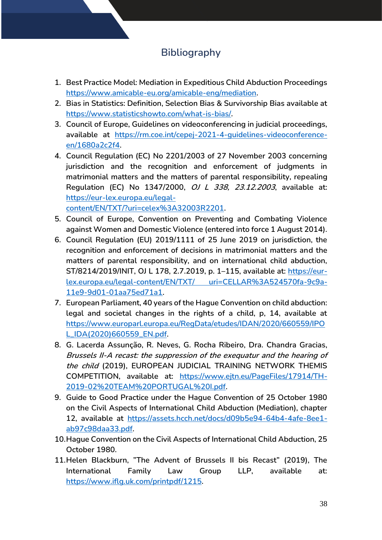# **Bibliography**

- <span id="page-37-0"></span>**1. Best Practice Model: Mediation in Expeditious Child Abduction Proceedings [https://www.amicable-eu.org/amicable-eng/mediation.](https://www.amicable-eu.org/amicable-eng/mediation)**
- **2. Bias in Statistics: Definition, Selection Bias & Survivorship Bias available at [https://www.statisticshowto.com/what-is-bias/.](https://www.statisticshowto.com/what-is-bias/)**
- **3. Council of Europe, Guidelines on videoconferencing in judicial proceedings, available at [https://rm.coe.int/cepej-2021-4-guidelines-videoconference](https://rm.coe.int/cepej-2021-4-guidelines-videoconference-en/1680a2c2f4)[en/1680a2c2f4.](https://rm.coe.int/cepej-2021-4-guidelines-videoconference-en/1680a2c2f4)**
- **4. Council Regulation (EC) No 2201/2003 of 27 November 2003 concerning jurisdiction and the recognition and enforcement of judgments in matrimonial matters and the matters of parental responsibility, repealing Regulation (EC) No 1347/2000, OJ L 338, 23.12.2003, available at: [https://eur-lex.europa.eu/legal-](https://eur-lex.europa.eu/legal-content/EN/TXT/?uri=celex%3A32003R2201)**

**[content/EN/TXT/?uri=celex%3A32003R2201.](https://eur-lex.europa.eu/legal-content/EN/TXT/?uri=celex%3A32003R2201)** 

- **5. Council of Europe, Convention on Preventing and Combating Violence against Women and Domestic Violence (entered into force 1 August 2014).**
- **6. Council Regulation (EU) 2019/1111 of 25 June 2019 on jurisdiction, the recognition and enforcement of decisions in matrimonial matters and the matters of parental responsibility, and on international child abduction, ST/8214/2019/INIT, OJ L 178, 2.7.2019, p. 1–115, available at: [https://eur](https://eur-lex.europa.eu/legal-content/EN/TXT/?uri=CELLAR%3A524570fa-9c9a-11e9-9d01-01aa75ed71a1)[lex.europa.eu/legal-content/EN/TXT/ uri=CELLAR%3A524570fa-9c9a-](https://eur-lex.europa.eu/legal-content/EN/TXT/?uri=CELLAR%3A524570fa-9c9a-11e9-9d01-01aa75ed71a1)[11e9-9d01-01aa75ed71a1.](https://eur-lex.europa.eu/legal-content/EN/TXT/?uri=CELLAR%3A524570fa-9c9a-11e9-9d01-01aa75ed71a1)**
- **7. European Parliament, 40 years of the Hague Convention on child abduction: legal and societal changes in the rights of a child, p, 14, available at [https://www.europarl.europa.eu/RegData/etudes/IDAN/2020/660559/IPO](https://www.europarl.europa.eu/RegData/etudes/IDAN/2020/660559/IPOL_IDA(2020)660559_EN.pdf) [L\\_IDA\(2020\)660559\\_EN.pdf.](https://www.europarl.europa.eu/RegData/etudes/IDAN/2020/660559/IPOL_IDA(2020)660559_EN.pdf)**
- **8. G. Lacerda Assunção, R. Neves, G. Rocha Ribeiro, Dra. Chandra Gracias, Brussels II-A recast: the suppression of the exequatur and the hearing of the child (2019), EUROPEAN JUDICIAL TRAINING NETWORK THEMIS COMPETITION, available at: [https://www.ejtn.eu/PageFiles/17914/TH-](https://www.ejtn.eu/PageFiles/17914/TH-2019-02%20TEAM%20PORTUGAL%20I.pdf)[2019-02%20TEAM%20PORTUGAL%20I.pdf.](https://www.ejtn.eu/PageFiles/17914/TH-2019-02%20TEAM%20PORTUGAL%20I.pdf)**
- **9. Guide to Good Practice under the Hague Convention of 25 October 1980 on the Civil Aspects of International Child Abduction (Mediation), chapter 12, available at [https://assets.hcch.net/docs/d09b5e94-64b4-4afe-8ee1](https://assets.hcch.net/docs/d09b5e94-64b4-4afe-8ee1-ab97c98daa33.pdf) [ab97c98daa33.pdf.](https://assets.hcch.net/docs/d09b5e94-64b4-4afe-8ee1-ab97c98daa33.pdf)**
- **10.Hague Convention on the Civil Aspects of International Child Abduction, 25 October 1980.**
- **11.Helen Blackburn, "The Advent of Brussels II bis Recast" (2019), The International Family Law Group LLP, available at: [https://www.iflg.uk.com/printpdf/1215.](https://www.iflg.uk.com/printpdf/1215)**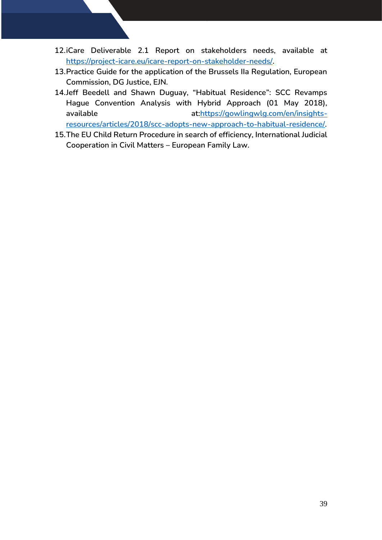- **12.iCare Deliverable 2.1 Report on stakeholders needs, available at [https://project-icare.eu/icare-report-on-stakeholder-needs/.](https://project-icare.eu/icare-report-on-stakeholder-needs/)**
- **13.Practice Guide for the application of the Brussels IIa Regulation, European Commission, DG Justice, EJN.**
- **14.Jeff Beedell and Shawn Duguay, "Habitual Residence": SCC Revamps Hague Convention Analysis with Hybrid Approach (01 May 2018), available at[:https://gowlingwlg.com/en/insights](https://gowlingwlg.com/en/insights-resources/articles/2018/scc-adopts-new-approach-to-habitual-residence/)[resources/articles/2018/scc-adopts-new-approach-to-habitual-residence/.](https://gowlingwlg.com/en/insights-resources/articles/2018/scc-adopts-new-approach-to-habitual-residence/)**
- **15.The EU Child Return Procedure in search of efficiency, International Judicial Cooperation in Civil Matters – European Family Law.**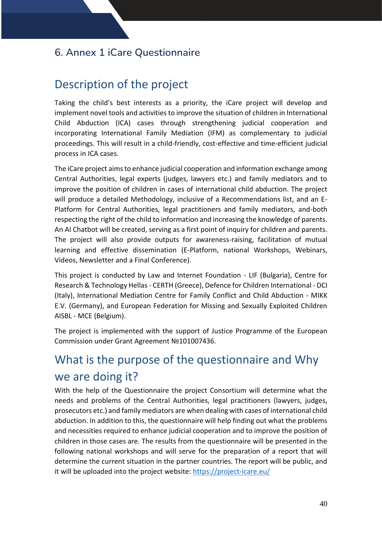# <span id="page-39-0"></span>**6. Annex 1 iCare Questionnaire**

# Description of the project

Taking the child's best interests as a priority, the iCare project will develop and implement novel tools and activities to improve the situation of children in lnternational Child Abduction (ICA) cases through strengthening judicial cooperation and incorporating International Family Mediation (IFM) as complementary to judicial proceedings. This will result in a child-friendly, cost-effective and time-efficient judicial process in ICA cases.

The iCare project aims to enhance judicial cooperation and information exchange among Central Authorities, legal experts (judges, lawyers etc.) and family mediators and to improve the position of children in cases of international child abduction. The project will produce a detailed Methodology, inclusive of a Recommendations list, and an E-Platform for Central Authorities, legal practitioners and family mediators, and-both respecting the right of the child to information and increasing the knowledge of parents. An AI Chatbot will be created, serving as a first point of inquiry for children and parents. The project will also provide outputs for awareness-raising, facilitation of mutual learning and effective dissemination (E-Platform, national Workshops, Webinars, Videos, Newsletter and a Final Conference).

This project is conducted by Law and Internet Foundation - LIF (Bulgaria), Centre for Research & Technology Hellas - CERTH (Greece), Defence for Children International - DCI (Italy), International Mediation Centre for Family Conflict and Child Abduction - MIKK E.V. (Germany), and European Federation for Missing and Sexually Exploited Children AISBL - MCE (Belgium).

The project is implemented with the support of Justice Programme of the European Commission under Grant Agreement №101007436.

# What is the purpose of the questionnaire and Why we are doing it?

With the help of the Questionnaire the project Consortium will determine what the needs and problems of the Central Authorities, legal practitioners (lawyers, judges, prosecutors etc.) and family mediators are when dealing with cases of international child abduction. In addition to this, the questionnaire will help finding out what the problems and necessities required to enhance judicial cooperation and to improve the position of children in those cases are. The results from the questionnaire will be presented in the following national workshops and will serve for the preparation of a report that will determine the current situation in the partner countries. The report will be public, and it will be uploaded into the project website:<https://project-icare.eu/>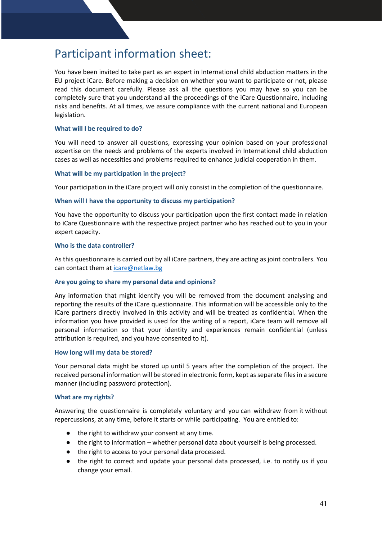# Participant information sheet:

You have been invited to take part as an expert in International child abduction matters in the EU project iCare. Before making a decision on whether you want to participate or not, please read this document carefully. Please ask all the questions you may have so you can be completely sure that you understand all the proceedings of the iCare Questionnaire, including risks and benefits. At all times, we assure compliance with the current national and European legislation.

#### **What will I be required to do?**

You will need to answer all questions, expressing your opinion based on your professional expertise on the needs and problems of the experts involved in International child abduction cases as well as necessities and problems required to enhance judicial cooperation in them.

#### **What will be my participation in the project?**

Your participation in the iCare project will only consist in the completion of the questionnaire.

#### **When will I have the opportunity to discuss my participation?**

You have the opportunity to discuss your participation upon the first contact made in relation to iCare Questionnaire with the respective project partner who has reached out to you in your expert capacity.

#### **Who is the data controller?**

As this questionnaire is carried out by all iCare partners, they are acting as joint controllers. You can contact them at [icare@netlaw.bg](mailto:icare@netlaw.bg) 

#### **Are you going to share my personal data and opinions?**

Any information that might identify you will be removed from the document analysing and reporting the results of the iCare questionnaire. This information will be accessible only to the iCare partners directly involved in this activity and will be treated as confidential. When the information you have provided is used for the writing of a report, iCare team will remove all personal information so that your identity and experiences remain confidential (unless attribution is required, and you have consented to it).

#### **How long will my data be stored?**

Your personal data might be stored up until 5 years after the completion of the project. The received personal information will be stored in electronic form, kept as separate files in a secure manner (including password protection).

#### **What are my rights?**

Answering the questionnaire is completely voluntary and you can withdraw from it without repercussions, at any time, before it starts or while participating. You are entitled to:

- the right to withdraw your consent at any time.
- the right to information whether personal data about yourself is being processed.
- the right to access to your personal data processed.
- the right to correct and update your personal data processed, i.e. to notify us if you change your email.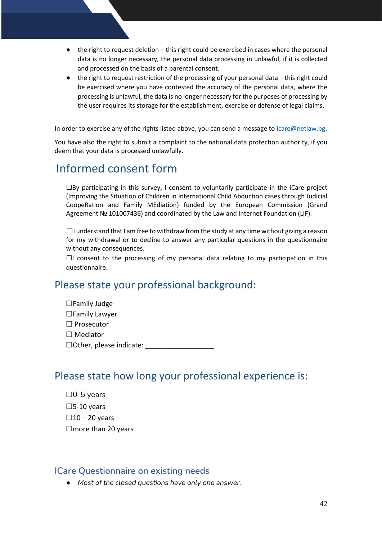- the right to request deletion this right could be exercised in cases where the personal data is no longer necessary, the personal data processing in unlawful, if it is collected and processed on the basis of a parental consent.
- the right to request restriction of the processing of your personal data this right could be exercised where you have contested the accuracy of the personal data, where the processing is unlawful, the data is no longer necessary for the purposes of processing by the user requires its storage for the establishment, exercise or defense of legal claims.

In order to exercise any of the rights listed above, you can send a message to [icare@netlaw.bg.](mailto:icare@netlaw.bg)

You have also the right to submit a complaint to the national data protection authority, if you deem that your data is processed unlawfully.

# Informed consent form

☐By participating in this survey, I consent to voluntarily participate in the iCare project (Improving the Situation of Children in International Child Abduction cases through Judicial CoopeRation and Family MEdiation) funded by the European Commission (Grand Agreement № 101007436) and coordinated by the Law and Internet Foundation (LIF).

 $\Box$ I understand that I am free to withdraw from the study at any time without giving a reason for my withdrawal or to decline to answer any particular questions in the questionnaire without any consequences.

 $\Box$ I consent to the processing of my personal data relating to my participation in this questionnaire.

# Please state your professional background:

☐Family Judge ☐Family Lawyer ☐ Prosecutor ☐ Mediator  $\Box$  Other, please indicate:

## Please state how long your professional experience is:

☐0-5 years  $\square$ 5-10 years  $\square$ 10 – 20 years □more than 20 years

### <span id="page-41-0"></span>**ICare Questionnaire on existing needs**

● *Most of the closed questions have only one answer.*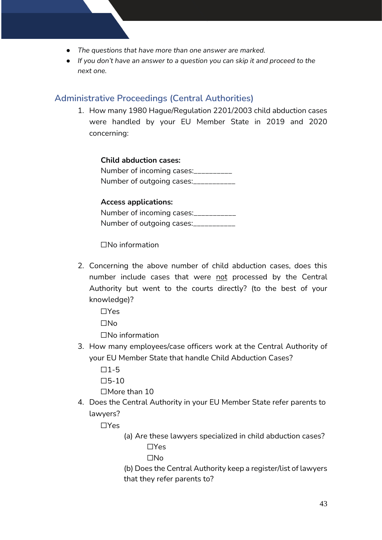- *The questions that have more than one answer are marked.*
- *If you don't have an answer to a question you can skip it and proceed to the next one.*

## <span id="page-42-0"></span>**Administrative Proceedings (Central Authorities)**

1. How many 1980 Hague/Regulation 2201/2003 child abduction cases were handled by your EU Member State in 2019 and 2020 concerning:

**Child abduction cases:** Number of incoming cases: Number of outgoing cases:\_\_\_\_\_\_\_\_\_\_\_

### **Access applications:**

Number of incoming cases:\_\_\_\_\_\_\_\_\_\_\_ Number of outgoing cases:\_\_\_\_\_\_\_\_\_\_\_

☐No information

2. Concerning the above number of child abduction cases, does this number include cases that were not processed by the Central Authority but went to the courts directly? (to the best of your knowledge)?

☐Yes

☐No

☐No information

3. How many employees/case officers work at the Central Authority of your EU Member State that handle Child Abduction Cases?

 $\Pi$ 1-5  $\Box$ 5-10

☐More than 10

4. Does the Central Authority in your EU Member State refer parents to lawyers?

☐Yes

(a) Are these lawyers specialized in child abduction cases? ☐Yes

☐No

(b) Does the Central Authority keep a register/list of lawyers that they refer parents to?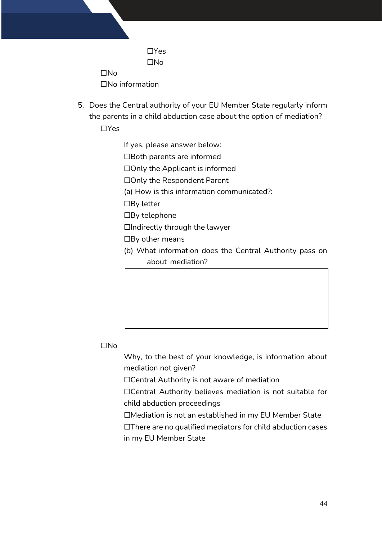☐Yes ☐No ☐No

☐No information

5. Does the Central authority of your EU Member State regularly inform the parents in a child abduction case about the option of mediation? ☐Yes

If yes, please answer below:

☐Both parents are informed

☐Only the Applicant is informed

☐Only the Respondent Parent

(a) How is this information communicated?:

☐By letter

☐By telephone

 $\Box$ Indirectly through the lawyer

 $\Box$ By other means

(b) What information does the Central Authority pass on about mediation?

### ☐No

Why, to the best of your knowledge, is information about mediation not given?

☐Central Authority is not aware of mediation

☐Central Authority believes mediation is not suitable for child abduction proceedings

☐Mediation is not an established in my EU Member State

☐There are no qualified mediators for child abduction cases in my EU Member State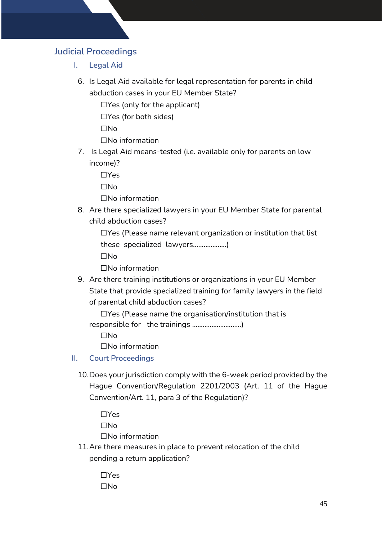## <span id="page-44-1"></span><span id="page-44-0"></span>**Judicial Proceedings**

- **I. Legal Aid**
	- 6. Is Legal Aid available for legal representation for parents in child abduction cases in your EU Member State?

 $\Box$ Yes (only for the applicant)

☐Yes (for both sides)

☐No

☐No information

7. Is Legal Aid means-tested (i.e. available only for parents on low income)?

☐Yes

 $\Box$ No

☐No information

8. Are there specialized lawyers in your EU Member State for parental child abduction cases?

☐Yes (Please name relevant organization or institution that list these specialized lawyers...................)

☐No

☐No information

9. Are there training institutions or organizations in your EU Member State that provide specialized training for family lawyers in the field of parental child abduction cases?

☐Yes (Please name the organisation/institution that is responsible for the trainings ............................)

☐No

☐No information

<span id="page-44-2"></span>**II. Court Proceedings** 

10.Does your jurisdiction comply with the 6-week period provided by the Hague Convention/Regulation 2201/2003 (Art. 11 of the Hague Convention/Art. 11, para 3 of the Regulation)?

☐Yes ☐No ☐No information

11.Are there measures in place to prevent relocation of the child pending a return application?

> ☐Yes ☐No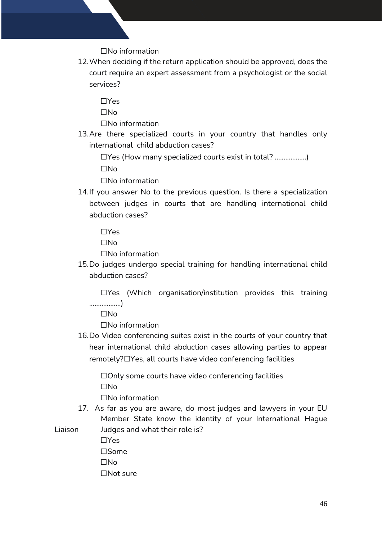☐No information

12.When deciding if the return application should be approved, does the court require an expert assessment from a psychologist or the social services?

☐Yes

☐No

☐No information

13.Are there specialized courts in your country that handles only international child abduction cases?

☐Yes (How many specialized courts exist in total? ..................) ☐No

☐No information

14.If you answer No to the previous question. Is there a specialization between judges in courts that are handling international child abduction cases?

☐Yes

☐No

☐No information

15.Do judges undergo special training for handling international child abduction cases?

☐Yes (Which organisation/institution provides this training ..................)

☐No

☐No information

16.Do Video conferencing suites exist in the courts of your country that hear international child abduction cases allowing parties to appear remotely?☐Yes, all courts have video conferencing facilities

☐Only some courts have video conferencing facilities ☐No

☐No information

17. As far as you are aware, do most judges and lawyers in your EU Member State know the identity of your International Hague Liaison Judges and what their role is?

☐Yes ☐Some ☐No ☐Not sure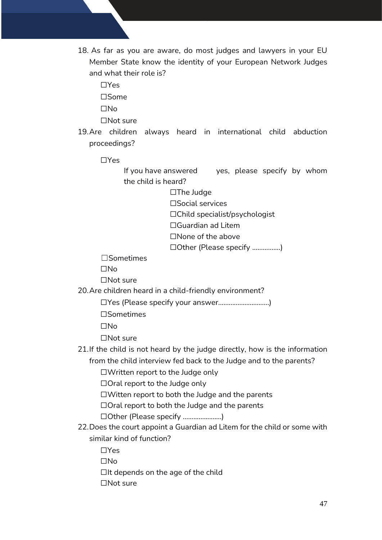18. As far as you are aware, do most judges and lawyers in your EU Member State know the identity of your European Network Judges and what their role is?

☐Yes

☐Some

☐No

☐Not sure

- 19.Are children always heard in international child abduction proceedings?
	- ☐Yes

If you have answered yes, please specify by whom the child is heard?

☐The Judge

☐Social services

☐Child specialist/psychologist

☐Guardian ad Litem

☐None of the above

☐Other (Please specify ................)

☐Sometimes

☐No

☐Not sure

20.Are children heard in a child-friendly environment?

☐Yes (Please specify your answer.............................)

☐Sometimes

☐No

☐Not sure

21.If the child is not heard by the judge directly, how is the information from the child interview fed back to the Judge and to the parents?

☐Written report to the Judge only

☐Oral report to the Judge only

☐Witten report to both the Judge and the parents

☐Oral report to both the Judge and the parents

☐Other (Please specify ......................)

22.Does the court appoint a Guardian ad Litem for the child or some with similar kind of function?

☐Yes

☐No

 $\Box$ It depends on the age of the child

☐Not sure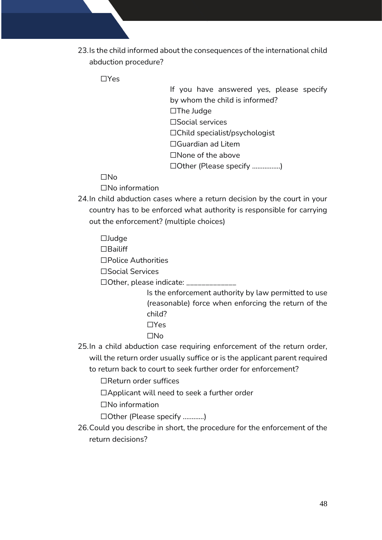23.Is the child informed about the consequences of the international child abduction procedure?

☐Yes

If you have answered yes, please specify by whom the child is informed? ☐The Judge ☐Social services ☐Child specialist/psychologist ☐Guardian ad Litem ☐None of the above ☐Other (Please specify ................)

☐No

☐No information

24.In child abduction cases where a return decision by the court in your country has to be enforced what authority is responsible for carrying out the enforcement? (multiple choices)

☐Judge ☐Bailiff ☐Police Authorities

☐Social Services

☐Other, please indicate: \_\_\_\_\_\_\_\_\_\_\_\_\_

Is the enforcement authority by law permitted to use (reasonable) force when enforcing the return of the child?

- ☐Yes
- ☐No
- 25.In a child abduction case requiring enforcement of the return order, will the return order usually suffice or is the applicant parent required to return back to court to seek further order for enforcement?

☐Return order suffices

☐Applicant will need to seek a further order

☐No information

☐Other (Please specify ............)

26.Could you describe in short, the procedure for the enforcement of the return decisions?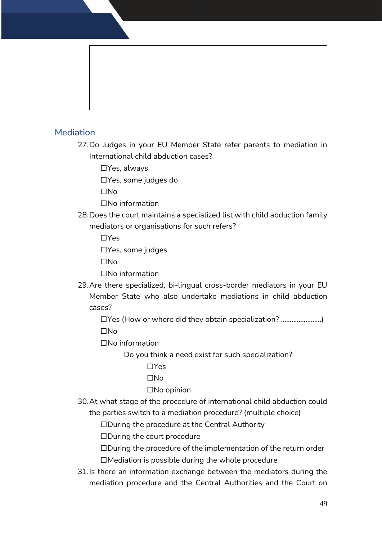## <span id="page-48-0"></span>**Mediation**

27.Do Judges in your EU Member State refer parents to mediation in International child abduction cases?

☐Yes, always

☐Yes, some judges do

☐No

☐No information

28.Does the court maintains a specialized list with child abduction family mediators or organisations for such refers?

☐Yes

☐Yes, some judges

☐No

☐No information

29.Are there specialized, bi-lingual cross-border mediators in your EU Member State who also undertake mediations in child abduction cases?

☐Yes (How or where did they obtain specialization? .......................) ☐No

☐No information

Do you think a need exist for such specialization?

☐Yes

 $\Box$ No

☐No opinion

30.At what stage of the procedure of international child abduction could the parties switch to a mediation procedure? (multiple choice)

☐During the procedure at the Central Authority

☐During the court procedure

☐During the procedure of the implementation of the return order  $\Box$ Mediation is possible during the whole procedure

31.Is there an information exchange between the mediators during the mediation procedure and the Central Authorities and the Court on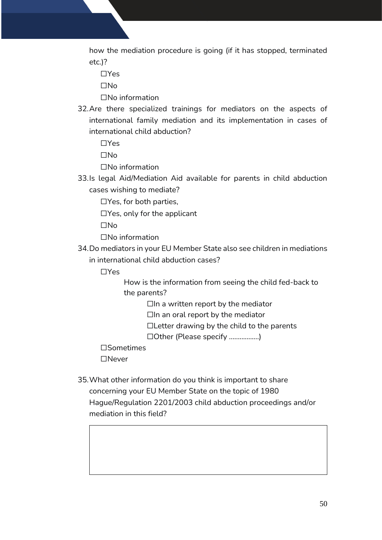how the mediation procedure is going (if it has stopped, terminated etc.)?

☐Yes

☐No

☐No information

32.Are there specialized trainings for mediators on the aspects of international family mediation and its implementation in cases of international child abduction?

☐Yes

 $\Box$ No

☐No information

33.Is legal Aid/Mediation Aid available for parents in child abduction cases wishing to mediate?

☐Yes, for both parties,

☐Yes, only for the applicant

☐No

☐No information

34.Do mediators in your EU Member State also see children in mediations in international child abduction cases?

☐Yes

 How is the information from seeing the child fed-back to the parents?

 $\Box$ In a written report by the mediator

 $\Box$ In an oral report by the mediator

☐Letter drawing by the child to the parents

☐Other (Please specify .................)

☐Sometimes

☐Never

35.What other information do you think is important to share concerning your EU Member State on the topic of 1980 Hague/Regulation 2201/2003 child abduction proceedings and/or mediation in this field?